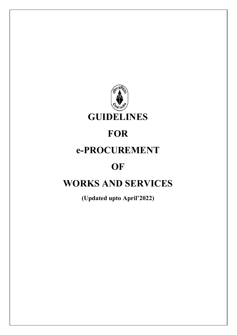

# **FOR**

# e-PROCUREMENT

# **OF**

# WORKS AND SERVICES

(Updated upto April'2022)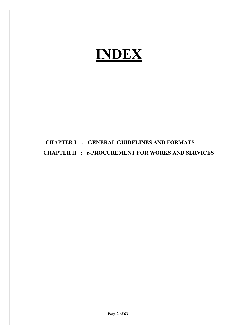# INDEX

# CHAPTER I : GENERAL GUIDELINES AND FORMATS CHAPTER II : e-PROCUREMENT FOR WORKS AND SERVICES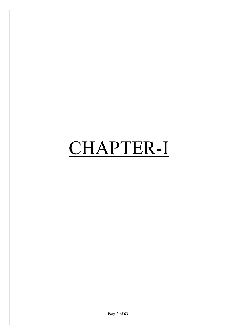# CHAPTER-I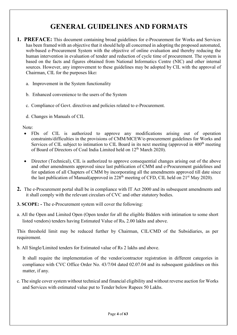# GENERAL GUIDELINES AND FORMATS

- **1. PREFACE:** This document containing broad guidelines for e-Procurement for Works and Services has been framed with an objective that it should help all concerned in adopting the proposed automated, web-based e-Procurement System with the objective of online evaluation and thereby reducing the human intervention in evaluation of tender and reduction of cycle time of procurement. The system is based on the facts and figures obtained from National Informatics Centre (NIC) and other internal sources. However, any improvement to these guidelines may be adopted by CIL with the approval of Chairman, CIL for the purposes like:
	- a. Improvement in the System functionality
	- b. Enhanced convenience to the users of the System
	- c. Compliance of Govt. directives and policies related to e-Procurement.
	- d. Changes in Manuals of CIL

Note:

- FDs of CIL is authorized to approve any modifications arising out of operation constraints/difficulties in the provisions of CMM/MCEW/e-procurement guidelines for Works and Services of CIL subject to intimation to CIL Board in its next meeting (approved in 400<sup>th</sup> meeting of Board of Directors of Coal India Limited held on 12<sup>th</sup> March 2020).
- Director (Technical), CIL is authorized to approve consequential changes arising out of the above and other amendments approved since last publication of CMM and e-Procurement guidelines and for updation of all Chapters of CMM by incorporating all the amendments approved till date since the last publication of Manual(approved in  $228<sup>th</sup>$  meeting of CFD, CIL held on  $21<sup>st</sup>$  May 2020).
- 2. The e-Procurement portal shall be in compliance with IT Act 2000 and its subsequent amendments and it shall comply with the relevant circulars of CVC and other statutory bodies.
- 3. SCOPE: The e-Procurement system will cover the following:
- a. All the Open and Limited Open (Open tender for all the eligible Bidders with intimation to some short listed vendors) tenders having Estimated Value of Rs. 2.00 lakhs and above.

This threshold limit may be reduced further by Chairman, CIL/CMD of the Subsidiaries, as per requirement.

b. All Single/Limited tenders for Estimated value of Rs 2 lakhs and above.

It shall require the implementation of the vendor/contractor registration in different categories in compliance with CVC Office Order No. 43/7/04 dated 02.07.04 and its subsequent guidelines on this matter, if any.

c. The single cover system without technical and financial eligibility and without reverse auction for Works and Services with estimated value put to Tender below Rupees 50 Lakhs.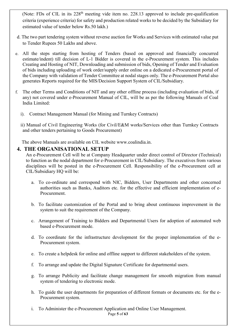(Note: FDs of CIL in its 228<sup>th</sup> meeting vide item no. 228.13 approved to include pre-qualification criteria (experience criteria) for safety and production related works to be decided by the Subsidiary for estimated value of tender below Rs.50 lakh.)

- d. The two part tendering system without reverse auction for Works and Services with estimated value put to Tender Rupees 50 Lakhs and above.
- e. All the steps starting from hosting of Tenders (based on approved and financially concurred estimate/indent) till decision of L-1 Bidder is covered in the e-Procurement system. This includes Creating and Hosting of NIT, Downloading and submission of bids, Opening of Tender and Evaluation of bids including uploading of work order/supply order online on a dedicated e-Procurement portal of the Company with validation of Tender Committee at nodal stages only. The e-Procurement Portal also generates Reports required for the MIS/Decision Support System of CIL/Subsidiary.
- f. The other Terms and Conditions of NIT and any other offline process (including evaluation of bids, if any) not covered under e-Procurement Manual of CIL, will be as per the following Manuals of Coal India Limited:
	- i). Contract Management Manual (for Mining and Turnkey Contracts)

 ii) Manual of Civil Engineering Works (for Civil/E&M works/Services other than Turnkey Contracts and other tenders pertaining to Goods Procurement)

The above Manuals are available on CIL website www.coalindia.in.

#### 4. THE ORGANISATIONAL SETUP

An e-Procurement Cell will be at Company Headquarter under direct control of Director (Technical) to function as the nodal department for e-Procurement in CIL/Subsidiary. The executives from various disciplines will be posted in the e-Procurement Cell. Responsibility of the e-Procurement cell at CIL/Subsidiary HQ will be:

- a. To co-ordinate and correspond with NIC, Bidders, User Departments and other concerned authorities such as Banks, Auditors etc. for the effective and efficient implementation of e-Procurement.
- b. To facilitate customization of the Portal and to bring about continuous improvement in the system to suit the requirement of the Company.
- c. Arrangement of Training to Bidders and Departmental Users for adoption of automated web based e-Procurement mode.
- d. To coordinate for the infrastructure development for the proper implementation of the e-Procurement system.
- e. To create a helpdesk for online and offline support to different stakeholders of the system.
- f. To arrange and update the Digital Signature Certificate for departmental users.
- g. To arrange Publicity and facilitate change management for smooth migration from manual system of tendering to electronic mode.
- h. To guide the user departments for preparation of different formats or documents etc. for the e-Procurement system.
- Page 5 of 63 i. To Administer the e-Procurement Application and Online User Management.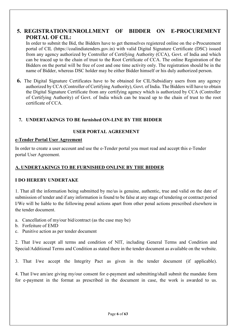#### 5. REGISTRATION/ENROLLMENT OF BIDDER ON E-PROCUREMENT PORTAL OF CIL:

In order to submit the Bid, the Bidders have to get themselves registered online on the e-Procurement portal of CIL (https://coalindiatenders.gov.in) with valid Digital Signature Certificate (DSC) issued from any agency authorized by Controller of Certifying Authority (CCA), Govt. of India and which can be traced up to the chain of trust to the Root Certificate of CCA. The online Registration of the Bidders on the portal will be free of cost and one time activity only. The registration should be in the name of Bidder, whereas DSC holder may be either Bidder himself or his duly authorized person.

6. The Digital Signature Certificates have to be obtained for CIL/Subsidiary users from any agency authorized by CCA (Controller of Certifying Authority), Govt. of India. The Bidders will have to obtain the Digital Signature Certificate from any certifying agency which is authorized by CCA (Controller of Certifying Authority) of Govt. of India which can be traced up to the chain of trust to the root certificate of CCA.

#### 7. UNDERTAKINGS TO BE furnished ON-LINE BY THE BIDDER

#### USER PORTAL AGREEMENT

#### e-Tender Portal User Agreement

In order to create a user account and use the e-Tender portal you must read and accept this e-Tender portal User Agreement.

#### A. UNDERTAKINGS TO BE FURNISHED ONLINE BY THE BIDDER

#### I DO HEREBY UNDERTAKE

1. That all the information being submitted by me/us is genuine, authentic, true and valid on the date of submission of tender and if any information is found to be false at any stage of tendering or contract period I/We will be liable to the following penal actions apart from other penal actions prescribed elsewhere in the tender document.

- a. Cancellation of my/our bid/contract (as the case may be)
- b. Forfeiture of EMD
- c. Punitive action as per tender document

2. That I/we accept all terms and condition of NIT, including General Terms and Condition and Special/Additional Terms and Condition as stated there in the tender document as available on the website.

3. That I/we accept the Integrity Pact as given in the tender document (if applicable).

4. That I/we am/are giving my/our consent for e-payment and submitting/shall submit the mandate form for e-payment in the format as prescribed in the document in case, the work is awarded to us.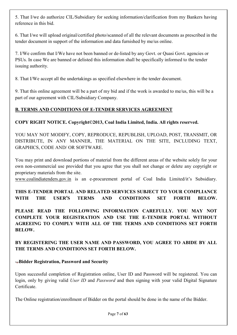5. That I/we do authorize CIL/Subsidiary for seeking information/clarification from my Bankers having reference in this bid.

6. That I/we will upload original/certified photo/scanned of all the relevant documents as prescribed in the tender document in support of the information and data furnished by me/us online.

7. I/We confirm that I/We have not been banned or de-listed by any Govt. or Quasi Govt. agencies or PSUs. In case We are banned or delisted this information shall be specifically informed to the tender issuing authority.

8. That I/We accept all the undertakings as specified elsewhere in the tender document.

9. That this online agreement will be a part of my bid and if the work is awarded to me/us, this will be a part of our agreement with CIL/Subsidiary Company.

#### B. TERMS AND CONDITIONS OF E-TENDER SERVICES AGREEMENT

#### COPY RIGHT NOTICE. Copyright©2013, Coal India Limited, India. All rights reserved.

YOU MAY NOT MODIFY, COPY, REPRODUCE, REPUBLISH, UPLOAD, POST, TRANSMIT, OR DISTRIBUTE, IN ANY MANNER, THE MATERIAL ON THE SITE, INCLUDING TEXT, GRAPHICS, CODE AND/ OR SOFTWARE.

You may print and download portions of material from the different areas of the website solely for your own non-commercial use provided that you agree that you shall not change or delete any copyright or proprietary materials from the site.

www.coalindiatenders.gov.in is an e-procurement portal of Coal India Limited/it's Subsidiary.

THIS E-TENDER PORTAL AND RELATED SERVICES SUBJECT TO YOUR COMPLIANCE WITH THE USER'S TERMS AND CONDITIONS SET FORTH BELOW.

PLEASE READ THE FOLLOWING INFORMATION CAREFULLY. YOU MAY NOT COMPLETE YOUR REGISTRATION AND USE THE E-TENDER PORTAL WITHOUT AGREEING TO COMPLY WITH ALL OF THE TERMS AND CONDITIONS SET FORTH BELOW.

BY REGISTERING THE USER NAME AND PASSWORD, YOU AGREE TO ABIDE BY ALL THE TERMS AND CONDITIONS SET FORTH BELOW.

#### Bidder Registration, Password and Security

Upon successful completion of Registration online, User ID and Password will be registered. You can login, only by giving valid User ID and Password and then signing with your valid Digital Signature Certificate.

The Online registration/enrollment of Bidder on the portal should be done in the name of the Bidder.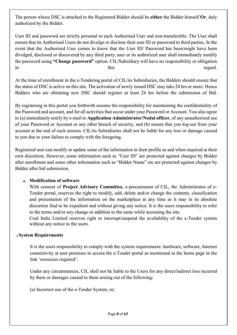The person whose DSC is attached to the Registered Bidder should be either the Bidder himself Or, duly authorized by the Bidder.

User ID and password are strictly personal to each Authorised User and non-transferable. The User shall ensure that its Authorised Users do not divulge or disclose their user ID or password to third parties. In the event that the Authorised User comes to know that the User ID/ Password has been/might have been divulged, disclosed or discovered by any third party, user or its authorized user shall immediately modify the password using "Change password" option. CIL/Subsidiary will have no responsibility or obligation in this regard.

At the time of enrollment in the e-Tendering portal of CIL/its Subsidiaries, the Bidders should ensure that the status of DSC is active on this site. The activation of newly issued DSC may take 24 hrs or more. Hence Bidders who are obtaining new DSC should register at least 24 hrs before the submission of Bid.

By registering in this portal you forthwith assume the responsibility for maintaining the confidentiality of the Password and account, and for all activities that occur under your Password or Account. You also agree to (a) immediately notify by e-mail to Application Administrator/Nodal officer, of any unauthorized use of your Password or Account or any other breach of security, and (b) ensure that you log-out from your account at the end of each session. CIL/its Subsidiaries shall not be liable for any loss or damage caused to you due to your failure to comply with the foregoing.

Registered user can modify or update some of the information in their profile as and when required at their own discretion. However, some information such as "User ID" are protected against changes by Bidder after enrollment and some other information such as "Bidder Name" etc are protected against changes by Bidder after bid submission.

#### $\rightarrow$  Modification of software

With consent of Project Advisory Committee, e-procurement of CIL, the Administrator of e-Tender portal, reserves the right to modify, add, delete and/or change the contents, classification and presentation of the information on the marketplace at any time as it may in its absolute discretion find to be expedient and without giving any notice. It is the users responsibility to refer to the terms and/or any change or addition to the same while accessing the site.

Coal India Limited reserves right to interrupt/suspend the availability of the e-Tender system without any notice to the users.

#### System Requirements

It is the users responsibility to comply with the system requirements: hardware, software, Internet connectivity at user premises to access the e-Tender portal as mentioned in the home page in the link 'resources required'.

Under any circumstances, CIL shall not be liable to the Users for any direct/indirect loss incurred by them or damages caused to them arising out of the following:

(a) Incorrect use of the e-Tender System, or;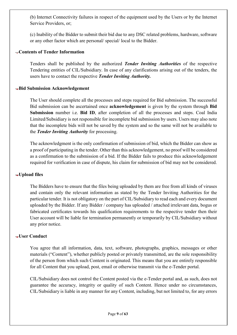(b) Internet Connectivity failures in respect of the equipment used by the Users or by the Internet Service Providers, or;

(c) Inability of the Bidder to submit their bid due to any DSC related problems, hardware, software or any other factor which are personal/ special/ local to the Bidder.

#### Contents of Tender Information

Tenders shall be published by the authorized Tender Inviting Authorities of the respective Tendering entities of CIL/Subsidiary. In case of any clarifications arising out of the tenders, the users have to contact the respective Tender Inviting Authority.

#### Bid Submission Acknowledgement

The User should complete all the processes and steps required for Bid submission. The successful Bid submission can be ascertained once acknowledgement is given by the system through Bid Submission number i.e. Bid ID, after completion of all the processes and steps. Coal India Limited/Subsidiary is not responsible for incomplete bid submission by users. Users may also note that the incomplete bids will not be saved by the system and so the same will not be available to the Tender Inviting Authority for processing.

The acknowledgment is the only confirmation of submission of bid, which the Bidder can show as a proof of participating in the tender. Other than this acknowledgement, no proof will be considered as a confirmation to the submission of a bid. If the Bidder fails to produce this acknowledgement required for verification in case of dispute, his claim for submission of bid may not be considered.

#### $+$ Upload files

The Bidders have to ensure that the files being uploaded by them are free from all kinds of viruses and contain only the relevant information as stated by the Tender Inviting Authorities for the particular tender. It is not obligatory on the part of CIL/Subsidiary to read each and every document uploaded by the Bidder. If any Bidder / company has uploaded / attached irrelevant data, bogus or fabricated certificates towards his qualification requirements to the respective tender then their User account will be liable for termination permanently or temporarily by CIL/Subsidiary without any prior notice.

#### User Conduct

You agree that all information, data, text, software, photographs, graphics, messages or other materials ("Content"), whether publicly posted or privately transmitted, are the sole responsibility of the person from which such Content is originated. This means that you are entirely responsible for all Content that you upload, post, email or otherwise transmit via the e-Tender portal.

CIL/Subsidiary does not control the Content posted via the e-Tender portal and, as such, does not guarantee the accuracy, integrity or quality of such Content. Hence under no circumstances, CIL/Subsidiary is liable in any manner for any Content, including, but not limited to, for any errors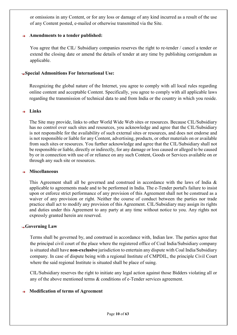or omissions in any Content, or for any loss or damage of any kind incurred as a result of the use of any Content posted, e-mailed or otherwise transmitted via the Site.

#### Amendments to a tender published:

You agree that the CIL/ Subsidiary companies reserves the right to re-tender / cancel a tender or extend the closing date or amend the details of tender at any time by publishing corrigendum as applicable.

#### Special Admonitions For International Use:

Recognizing the global nature of the Internet, you agree to comply with all local rules regarding online content and acceptable Content. Specifically, you agree to comply with all applicable laws regarding the transmission of technical data to and from India or the country in which you reside.

#### $+$  Links

The Site may provide, links to other World Wide Web sites or resources. Because CIL/Subsidiary has no control over such sites and resources, you acknowledge and agree that the CIL/Subsidiary is not responsible for the availability of such external sites or resources, and does not endorse and is not responsible or liable for any Content, advertising, products, or other materials on or available from such sites or resources. You further acknowledge and agree that the CIL/Subsidiary shall not be responsible or liable, directly or indirectly, for any damage or loss caused or alleged to be caused by or in connection with use of or reliance on any such Content, Goods or Services available on or through any such site or resources.

#### Miscellaneous

This Agreement shall all be governed and construed in accordance with the laws of India & applicable to agreements made and to be performed in India. The e-Tender portal's failure to insist upon or enforce strict performance of any provision of this Agreement shall not be construed as a waiver of any provision or right. Neither the course of conduct between the parties nor trade practice shall act to modify any provision of this Agreement. CIL/Subsidiary may assign its rights and duties under this Agreement to any party at any time without notice to you. Any rights not expressly granted herein are reserved.

#### Governing Law

Terms shall be governed by, and construed in accordance with, Indian law. The parties agree that the principal civil court of the place where the registered office of Coal India/Subsidiary company is situated shall have non-exclusive jurisdiction to entertain any dispute with Coal India/Subsidiary company. In case of dispute being with a regional Institute of CMPDIL, the principle Civil Court where the said regional Institute is situated shall be place of suing.

CIL/Subsidiary reserves the right to initiate any legal action against those Bidders violating all or any of the above mentioned terms & conditions of e-Tender services agreement.

#### Modification of terms of Agreement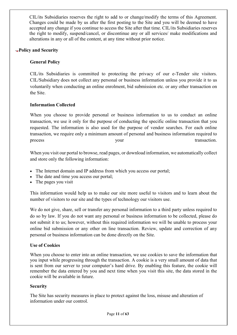CIL/its Subsidiaries reserves the right to add to or change/modify the terms of this Agreement. Changes could be made by us after the first posting to the Site and you will be deemed to have accepted any change if you continue to access the Site after that time. CIL/its Subsidiaries reserves the right to modify, suspend/cancel, or discontinue any or all services/ make modifications and alterations in any or all of the content, at any time without prior notice.

#### Policy and Security

#### General Policy

CIL/its Subsidiaries is committed to protecting the privacy of our e-Tender site visitors. CIL/Subsidiary does not collect any personal or business information unless you provide it to us voluntarily when conducting an online enrolment, bid submission etc. or any other transaction on the Site.

#### Information Collected

When you choose to provide personal or business information to us to conduct an online transaction, we use it only for the purpose of conducting the specific online transaction that you requested. The information is also used for the purpose of vendor searches. For each online transaction, we require only a minimum amount of personal and business information required to process your transaction.

When you visit our portal to browse, read pages, or download information, we automatically collect and store only the following information:

- The Internet domain and IP address from which you access our portal;
- The date and time you access our portal;
- The pages you visit

This information would help us to make our site more useful to visitors and to learn about the number of visitors to our site and the types of technology our visitors use.

We do not give, share, sell or transfer any personal information to a third party unless required to do so by law. If you do not want any personal or business information to be collected, please do not submit it to us; however, without this required information we will be unable to process your online bid submission or any other on line transaction. Review, update and correction of any personal or business information can be done directly on the Site.

#### Use of Cookies

When you choose to enter into an online transaction, we use cookies to save the information that you input while progressing through the transaction. A cookie is a very small amount of data that is sent from our server to your computer's hard drive. By enabling this feature, the cookie will remember the data entered by you and next time when you visit this site, the data stored in the cookie will be available in future.

#### **Security**

The Site has security measures in place to protect against the loss, misuse and alteration of information under our control.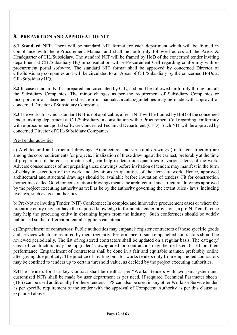#### 8. PREPARTION AND APPROVAL OF NIT

8.1 Standard NIT: There will be standard NIT format for each department which will be framed in compliance with the e-Procurement Manual and shall be uniformly followed across all the Areas & Headquarter of CIL/Subsidiary. The standard NIT will be framed by HoD of the concerned tender inviting department at CIL/Subsidiary HQ in consultation with e-Procurement Cell regarding conformity with eprocurement portal software. The standard NIT format shall be approved by concerned Director of CIL/Subsidiary companies and will be circulated to all Areas of CIL/Subsidiary by the concerned HoDs at CIL/Subsidiary HQ.

8.2 In case standard NIT is prepared and circulated by CIL, it should be followed uniformly throughout all the Subsidiary Companies. The minor changes as per the requirement of Subsidiary Companies or incorporation of subsequent modification in manuals/circulars/guidelines may be made with approval of concerned Director of Subsidiary Companies.

8.3 The works for which standard NIT is not applicable, a fresh NIT will be framed by HoD of the concerned tender inviting department at CIL/Subsidiary in consultation with e-Procurement Cell regarding conformity with e-procurement portal software Concerned Technical Department (CTD). Such NIT will be approved by concerned Director of CIL/Subsidiary Companies.

#### Pre-Tender activities

a) Architectural and structural drawings: Architectural and structural drawings (fit for construction) are among the core requirements for projects. Finalization of these drawings at the earliest, preferably at the time of preparation of the cost estimate itself, can help to determine quantities of various items of the work. Adverse consequences of not preparing these drawings before invitation of tenders may manifest in the form of delay in execution of the work and deviations in quantities of the items of work. Hence, approved architectural and structural drawings should be available before invitation of tenders. Fit for construction (sometimes called Good for construction) drawings means the architectural and structural drawings approved by the project executing authority as well as be by the authority governing the extant rules / laws, including byelaws, such as local authorities.

b) Pre-Notice inviting Tender (NIT) Conference: In complex and innovative procurement cases or where the procuring entity may not have the required knowledge to formulate tender provisions, a pre-NIT conference may help the procuring entity in obtaining inputs from the industry. Such conferences should be widely publicised so that different potential suppliers can attend.

c) Empanelment of contractors: Public authorities may empanel/ register contractors of those specific goods and services which are required by them regularly. Performance of such empanelled contractors should be reviewed periodically. The list of registered contractors shall be updated on a regular basis. The category/ class of contractors may be upgraded/ downgraded or contractors may be de-listed based on their performance. Empanelment of contractors shall be done in a fair and equitable manner, preferably online after giving due publicity. The practice of inviting bids for works tenders only from empanelled contractors may be confined to tenders up to certain threshold value, as decided by the project executing authorities.

8.4The Tenders for Turnkey Contract shall be dealt as per "Works" tenders with two part system and customized NITs shall be made by user department as per need. If required Technical Parameter sheets (TPS) can be used additionally for these tenders. TPS can also be used in any other Works or Service tender as per specific requirement of the tender with the approval of Competent Authority as per this clause as explained above.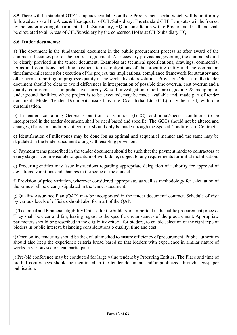8.5 There will be standard GTE Templates available on the e-Procurement portal which will be uniformly followed across all the Areas & Headquarter of CIL/Subsidiary. The standard GTE Templates will be framed by the tender inviting department at CIL/Subsidiary, HQ in consultation with e-Procurement Cell and shall be circulated to all Areas of CIL/Subsidiary by the concerned HoDs at CIL/Subsidiary HQ.

#### 8.6 Tender documents:

a) The document is the fundamental document in the public procurement process as after award of the contract it becomes part of the contract agreement. All necessary provisions governing the contract should be clearly provided in the tender document. Examples are technical specifications, drawings, commercial terms and conditions including payment terms, obligations of the procuring entity and the contractor, timeframe/milestones for execution of the project, tax implications, compliance framework for statutory and other norms, reporting on progress/ quality of the work, dispute resolution. Provisions/clauses in the tender document should be clear to avoid differences in interpretation of possible time overrun, cost overrun and a quality compromise. Comprehensive survey  $\&$  soil investigation report, area grading  $\&$  mapping of underground facilities, where project is to be executed, may be made available and, made part of tender document. Model Tender Documents issued by the Coal India Ltd (CIL) may be used, with due customisation.

b) In tenders containing General Conditions of Contract (GCC), additional/special conditions to be incorporated in the tender document, shall be need based and specific. The GCCs should not be altered and changes, if any, in conditions of contract should only be made through the Special Conditions of Contract.

c) Identification of milestones may be done ibn as optimal and sequential manner and the same may be stipulated in the tender document along with enabling provisions.

d) Payment terms prescribed in the tender document should be such that the payment made to contractors at every stage is commensurate to quantum of work done, subject to any requirements for initial mobilisation.

e) Procuring entities may issue instructions regarding appropriate delegation of authority for approval of deviations, variations and changes in the scope of the contact.

f) Provision of price variation, wherever considered appropriate, as well as methodology for calculation of the same shall be clearly stipulated in the tender document.

g) Quality Assurance Plan (QAP) may be incorporated in the tender document/ contract. Schedule of visit by various levels of officials should also form art of the QAP.

h) Technical and Financial eligibility Criteria for the bidders are important in the public procurement process. They shall be clear and fair, having regard to the specific circumstances of the procurement. Appropriate parameters should be prescribed in the eligibility criteria for bidders, to enable selection of the right type of bidders in public interest, balancing considerations o quality, time and cost.

i) Open online tendering should be the default method to ensure efficiency of procurement. Public authorities should also keep the experience criteria broad based so that bidders with experience in similar nature of works in various sectors can participate.

j) Pre-bid conference may be conducted for large value tenders by Procuring Entities. The Place and time of pre-bid conferences should be mentioned in the tender document and/or publicized through newspaper publication.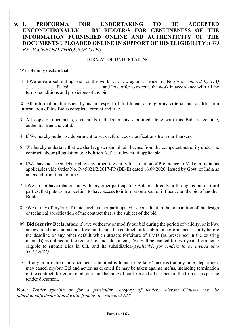# 9. I. PROFORMA FOR UNDERTAKING TO BE ACCEPTED UNCONDITIONALLY BY BIDDER/S FOR GENUINENESS OF INFORMATION FURNISHED ONLINE AND AUTHENTICITY OF THE DOCUMENTS UPLOADED ONLINE IN SUPPORT OF HIS ELIGIBILITY :( TO BE ACCEPTED THROUGH GTE)

#### FORMAT OF UNDERTAKING

We solemnly declare that:

 1. I/We am/are submitting Bid for the work ……….. against Tender id No.(to be entered by TIA) ......................... Dated………………… and I/we offer to execute the work in accordance with all the terms, conditions and provisions of the bid.

 2. All information furnished by us in respect of fulfilment of eligibility criteria and qualification information of this Bid is complete, correct and true.

- 3. All copy of documents, credentials and documents submitted along with this Bid are genuine, authentic, true and valid.
- 4. I/ We hereby authorize department to seek references / clarifications from our Bankers.
- 5. We hereby undertake that we shall register and obtain license from the competent authority under the contract labour (Regulation & Abolition Act) as relevant, if applicable.
- 6. I/We have not been debarred by any procuring entity for violation of Preference to Make in India (as applicable) vide Order No. P-45021/2/2017-PP (BE-II) dated 16.09.2020, issued by Govt. of India as amended from time to time.
- 7. l/We do not have relationship with any other participating Bidders, directly or through common third parties, that puts us in a position to have access to information about or influence on the bid of another Bidder.
- 8. l/We or any of my/our affiliate has/have not participated as consultant in the preparation of the design or technical specification of the contract that is the subject of the bid.
- 09. Bid Security Declaration: lf l/we withdraw or modify our bid during the period of validity, or if l/we are awarded the contract and l/we fail to sign the contract, or to submit a performance security before the deadline or any other default which attracts forfeiture of EMD (as prescribed in the existing manuals) as defined in the request for bids document, l/we will be banned for two years from being eligible to submit Bids in CIL and its subsidiaries.(Applicable for tenders to be invited upto 31.12.2021)
- 10. If any information and document submitted is found to be false/ incorrect at any time, department may cancel my/our Bid and action as deemed fit may be taken against me/us, including termination of the contract, forfeiture of all dues and banning of our firm and all partners of the firm etc as per the tender document.

Note: Tender specific or for a particular category of tender, relevant Clauses may be added/modified/substituted while framing the standard NIT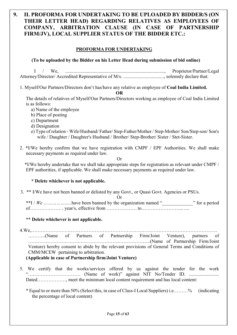# 9. II. PROFORMA FOR UNDERTAKING TO BE UPLOADED BY BIDDER/S (ON THEIR LETTER HEAD) REGARDING RELATIVES AS EMPLOYEES OF COMPANY, ARBITRATION CLAUSE (IN CASE OF PARTNERSHIP FIRM/JV), LOCAL SUPPLIER STATUS OF THE BIDDER ETC.:

#### PROFORMA FOR UNDERTAKING

(To be uploaded by the Bidder on his Letter Head during submission of bid online)

I / We, ..................................................................................., Proprietor/Partner/Legal Attorney/Director/ Accredited Representative of M/s. .................................., solemnly declare that:

1. Myself/Our Partners/Directors don't has/have any relative as employee of Coal India Limited.

OR

The details of relatives of Myself/Our Partners/Directors working as employee of Coal India Limited is as follows:

- a) Name of the employee
- b) Place of posting
- c) Department
- d) Designation
- e) Type of relation Wife/Husband/ Father/ Step-Father/Mother / Step-Mother/ Son/Step-son/ Son's wife / Daughter / Daughter's Husband / Brother/ Step-Brother/ Sister / Stet-Sister.
- 2. \*I/We hereby confirm that we have registration with CMPF / EPF Authorities. We shall make necessary payments as required under law.

Or

 \*I/We hereby undertake that we shall take appropriate steps for registration as relevant under CMPF / EPF authorities, if applicable. We shall make necessary payments as required under law.

#### \* Delete whichever is not applicable.

3. \*\* I/We have not been banned or delisted by any Govt., or Quasi Govt. Agencies or PSUs.

Or

\*\*I / We ... ... ... ... ... ... have been banned by the organization named " \_\_\_\_\_\_\_\_\_\_\_\_\_\_" for a period of………………… year/s, effective from ………………. to……………………..…..

#### \*\* Delete whichever is not applicable.

4.We,……………………………………………………………………………………………………… ………..(Name of Partners of Partnership Firm/Joint Venture), partners of …………………………………………………………………..(Name of Partnership Firm/Joint Venture) hereby consent to abide by the relevant provisions of General Terms and Conditions of CMM/MCEW pertaining to arbitration.

#### (Applicable in case of Partnership firm/Joint Venture)

- 5. We certify that the works/services offered by us against the tender for the work "…………………………… (Name of work)" against NIT No/Tender ID. ......................... Dated……………, meet the minimum local content requirement and has local content:
	- \* Equal to or more than 50% (Select this, in case of Class-I Local Suppliers) i.e………% (indicating the percentage of local content)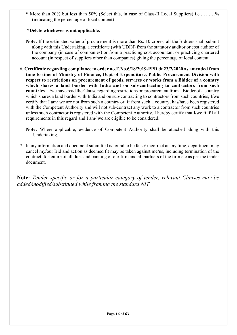\* More than 20% but less than 50% (Select this, in case of Class-II Local Suppliers) i.e.………% (indicating the percentage of local content)

#### \*Delete whichever is not applicable.

- Note: If the estimated value of procurement is more than Rs. 10 crores, all the Bidders shall submit along with this Undertaking, a certificate (with UDIN) from the statutory auditor or cost auditor of the company (in case of companies) or from a practicing cost accountant or practicing chartered account (in respect of suppliers other than companies) giving the percentage of local content.
- 6. Certificate regarding compliance to order no.F.No.6/18/2019-PPD dt 23/7/2020 as amended from time to time of Ministry of Finance, Dept of Expenditure, Public Procurement Division with respect to restrictions on procurement of goods, services or works from a Bidder of a country which shares a land border with India and on sub-contracting to contractors from such countries - I/we have read the Clause regarding restrictions on procurement from a Bidder of a country which shares a land border with India and on sub-contracting to contractors from such countries; I/we certify that I am/ we are not from such a country or, if from such a country, has/have been registered with the Competent Authority and will not sub-contract any work to a contractor from such countries unless such contractor is registered with the Competent Authority. I hereby certify that I/we fulfil all requirements in this regard and I am/ we are eligible to be considered.
	- Note: Where applicable, evidence of Competent Authority shall be attached along with this Undertaking.
- 7. If any information and document submitted is found to be false/ incorrect at any time, department may cancel my/our Bid and action as deemed fit may be taken against me/us, including termination of the contract, forfeiture of all dues and banning of our firm and all partners of the firm etc as per the tender document.

Note: Tender specific or for a particular category of tender, relevant Clauses may be added/modified/substituted while framing the standard NIT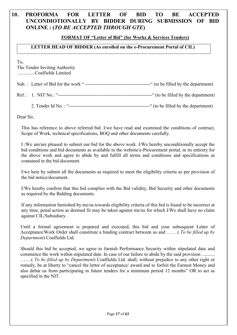## 10. PROFORMA FOR LETTER OF BID TO BE ACCEPTED UNCONDIOTIONALLY BY BIDDER DURING SUBMISSION OF BID ONLINE : (TO BE ACCEPTED THROUGH GTE)

#### FORMAT OF "Letter of Bid" (for Works & Services Tenders)

#### LETTER HEAD OF BIDDER (As enrolled on the e-Procurement Portal of CIL)

To,

The Tender Inviting Authority ..............Coalfields Limited

Sub. : Letter of Bid for the work " -----------------------------------------" (to be filled by the department)

| Ref. | N |  | to bel | THE <sub>d</sub><br>. nv | the<br>e denartment - |  |
|------|---|--|--------|--------------------------|-----------------------|--|
|------|---|--|--------|--------------------------|-----------------------|--|

2. Tender Id No. : "---------------------------------------------------" (to be filled by the department)

Dear Sir,

This has reference to above referred bid. I/we have read and examined the conditions of contract, Scope of Work, technical specifications, BOQ and other documents carefully.

I /We am/are pleased to submit our bid for the above work. I/We hereby unconditionally accept the bid conditions and bid documents as available in the website/e-Procurement portal, in its entirety for the above work and agree to abide by and fulfill all terms and conditions and specifications as contained in the bid document.

I/we here by submit all the documents as required to meet the eligibility criteria as per provision of the bid notice/document.

I/We hereby confirm that this bid complies with the Bid validity, Bid Security and other documents as required by the Bidding documents.

If any information furnished by me/us towards eligibility criteria of this bid is found to be incorrect at any time, penal action as deemed fit may be taken against me/us for which I/We shall have no claim against CIL/Subsidiary.

 Until a formal agreement is prepared and executed, this bid and your subsequent Letter of Acceptance/Work Order shall constitute a binding contract between us and …….(*To be filled up by* Department) Coalfields Ltd.

Should this bid be accepted, we agree to furnish Performance Security within stipulated date and commence the work within stipulated date. In case of our failure to abide by the said provision ........... …….( To be filled up by Department) Coalfields Ltd. shall, without prejudice to any other right or remedy, be at liberty to "cancel the letter of acceptance/ award and to forfeit the Earnest Money and also debar us from participating in future tenders for a minimum period 12 months" OR to act as specified in the NIT.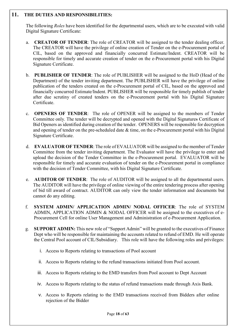#### 11. THE DUTIES AND RESPONSIBILITIES:

The following *Roles* have been identified for the departmental users, which are to be executed with valid Digital Signature Certificate:

- a. CREATOR OF TENDER: The role of CREATOR will be assigned to the tender dealing officer. The CREATOR will have the privilege of online creation of Tender on the e-Procurement portal of CIL, based on the approved and financially concurred Estimate/Indent. CREATOR will be responsible for timely and accurate creation of tender on the e-Procurement portal with his Digital Signature Certificate.
- b. PUBLISHER OF TENDER: The role of PUBLISHER will be assigned to the HoD (Head of the Department) of the tender inviting department. The PUBLISHER will have the privilege of online publication of the tenders created on the e-Procurement portal of CIL, based on the approved and financially concurred Estimate/Indent. PUBLISHER will be responsible for timely publish of tender after due scrutiny of created tenders on the e-Procurement portal with his Digital Signature Certificate.
- c. OPENERS OF TENDER: The role of OPENER will be assigned to the members of Tender Committee only. The tender will be decrypted and opened with the Digital Signatures Certificate of Bid Openers as identified during creation of the tender. OPENERS will be responsible for decryption and opening of tender on the pre-scheduled date & time, on the e-Procurement portal with his Digital Signature Certificate.
- d. EVALUATOR OF TENDER: The role of EVALUATOR will be assigned to the member of Tender Committee from the tender inviting department. The Evaluator will have the privilege to enter and upload the decision of the Tender Committee in the e-Procurement portal. EVALUATOR will be responsible for timely and accurate evaluation of tender on the e-Procurement portal in compliance with the decision of Tender Committee, with his Digital Signature Certificate.
- e. AUDITOR OF TENDER: The role of AUDITOR will be assigned to all the departmental users. The AUDITOR will have the privilege of online viewing of the entire tendering process after opening of bid till award of contract. AUDITOR can only view the tender information and documents but cannot do any editing.
- f. SYSTEM ADMIN/ APPLICATION ADMIN/ NODAL OFFICER: The role of SYSTEM ADMIN, APPLICATION ADMIN & NODAL OFFICER will be assigned to the executives of e-Procurement Cell for online User Management and Administration of e-Procurement Application.
- g. SUPPORT ADMIN: This new role of "Support Admin" will be granted to the executives of Finance Dept who will be responsible for maintaining the accounts related to refund of EMD. He will operate the Central Pool account of CIL/Subsidiary. This role will have the following roles and privileges:
	- i. Access to Reports relating to transactions of Pool account
	- ii. Access to Reports relating to the refund transactions initiated from Pool account.
	- iii. Access to Reports relating to the EMD transfers from Pool account to Dept Account
	- iv. Access to Reports relating to the status of refund transactions made through Axis Bank.
	- v. Access to Reports relating to the EMD transactions received from Bidders after online rejection of the Bidder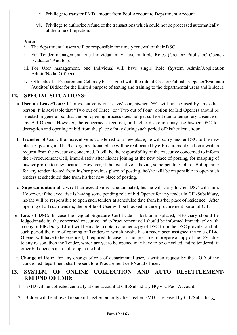- vi. Privilege to transfer EMD amount from Pool Account to Department Account.
- vii. Privilege to authorize refund of the transactions which could not be processed automatically at the time of rejection.

#### Note:

- i. The departmental users will be responsible for timely renewal of their DSC.
- ii. For Tender management, one Individual may have multiple Roles (Creator/ Publisher/ Opener/ Evaluator/ Auditor).
- iii. For User management, one Individual will have single Role (System Admin/Application Admin/Nodal Officer)
- iv. Officials of e-Procurement Cell may be assigned with the role of Creator/Publisher/Opener/Evaluator /Auditor/ Bidder for the limited purpose of testing and training to the departmental users and Bidders.

# 12. SPECIAL SITUATIONS:

- a. User on Leave/Tour: If an executive is on Leave/Tour, his/her DSC will not be used by any other person. It is advisable that "Two out of Three" or "Two out of Four" option for Bid Openers should be selected in general, so that the bid opening process does not get suffered due to temporary absence of any Bid Opener. However, the concerned executive, on his/her discretion may use his/her DSC for decryption and opening of bid from the place of stay during such period of his/her leave/tour.
- b. Transfer of User: If an executive is transferred to a new place, he will carry his/her DSC to the new place of posting and his/her organizational place will be reallocated by e-Procurement Cell on a written request from the executive concerned. It will be the responsibility of the executive concerned to inform the e-Procurement Cell, immediately after his/her joining at the new place of posting, for mapping of his/her profile to new location. However, if the executive is having some pending job of Bid opening for any tender floated from his/her previous place of posting, he/she will be responsible to open such tenders at scheduled date from his/her new place of posting.
- d. Superannuation of User: If an executive is superannuated, he/she will carry his/her DSC with him. However, if the executive is having some pending role of bid Opener for any tender in CIL/Subsidiary, he/she will be responsible to open such tenders at scheduled date from his/her place of residence. After opening of all such tenders, the profile of User will be blocked in the e-procurement portal of CIL.
- e. Loss of DSC: In case the Digital Signature Certificate is lost or misplaced, FIR/Diary should be lodged/made by the concerned executive and e-Procurement cell should be informed immediately with a copy of FIR/Diary. Effort will be made to obtain another copy of DSC from the DSC provider and till such period the date of opening of Tenders in which he/she has already been assigned the role of Bid Opener will have to be extended, if required. In case it is not possible to prepare a copy of the DSC due to any reason, then the Tender, which are yet to be opened may have to be cancelled and re-tendered, if other bid openers also fail to open the bid.
- f. Change of Role: For any change of role of departmental user, a written request by the HOD of the concerned department shall be sent to e-Procurement cell/Nodal officer.

# 13. SYSTEM OF ONLINE COLLECTION AND AUTO RESETTLEMENT/ REFUND OF EMD:

- 1. EMD will be collected centrally at one account at CIL/Subsidiary HQ viz. Pool Account.
- 2. Bidder will be allowed to submit his/her bid only after his/her EMD is received by CIL/Subsidiary.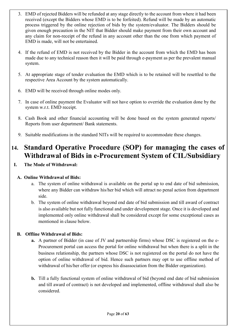- 3. EMD of rejected Bidders will be refunded at any stage directly to the account from where it had been received (except the Bidders whose EMD is to be forfeited). Refund will be made by an automatic process triggered by the online rejection of bids by the system/evaluator. The Bidders should be given enough precaution in the NIT that Bidder should make payment from their own account and any claim for non-receipt of the refund in any account other than the one from which payment of EMD is made, will not be entertained.
- 4. If the refund of EMD is not received by the Bidder in the account from which the EMD has been made due to any technical reason then it will be paid through e-payment as per the prevalent manual system.
- 5. At appropriate stage of tender evaluation the EMD which is to be retained will be resettled to the respective Area Account by the system automatically.
- 6. EMD will be received through online modes only.
- 7. In case of online payment the Evaluator will not have option to override the evaluation done by the system w.r.t. EMD receipt.
- 8. Cash Book and other financial accounting will be done based on the system generated reports/ Reports from user department/ Bank statements.
- 9. Suitable modifications in the standard NITs will be required to accommodate these changes.

# 14. Standard Operative Procedure (SOP) for managing the cases of Withdrawal of Bids in e-Procurement System of CIL/Subsidiary

I. The Mode of Withdrawal:

#### A. Online Withdrawal of Bids:

- a. The system of online withdrawal is available on the portal up to end date of bid submission, where any Bidder can withdraw his/her bid which will attract no penal action from department side.
- b. The system of online withdrawal beyond end date of bid submission and till award of contract is also available but not fully functional and under development stage. Once it is developed and implemented only online withdrawal shall be considered except for some exceptional cases as mentioned in clause below.

#### B. Offline Withdrawal of Bids:

- a. A partner of Bidder (in case of JV and partnership firms) whose DSC is registered on the e-Procurement portal can access the portal for online withdrawal but when there is a split in the business relationship, the partners whose DSC is not registered on the portal do not have the option of online withdrawal of bid. Hence such partners may opt to use offline method of withdrawal of his/her offer (or express his disassociation from the Bidder organization).
- b. Till a fully functional system of online withdrawal of bid (beyond end date of bid submission and till award of contract) is not developed and implemented, offline withdrawal shall also be considered.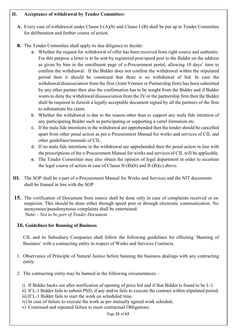#### II. Acceptance of withdrawal by Tender Committee:

- A. Every case of withdrawal under Clause I-(A)(b) and Clause I-(B) shall be put up to Tender Committee for deliberation and further course of action.
- B. The Tender Committee shall apply its due diligence to decide:
	- a. Whether the request for withdrawal of offer has been received from right source and authentic. For this purpose a letter is to be sent by registered post/speed post to the Bidder on the address as given by him in the enrollment page of e-Procurement portal, allowing 10 days' time to confirm the withdrawal. If the Bidder does not confirm the withdrawal within the stipulated period then it should be construed that there is no withdrawal of bid. In case the withdrawal/disassociation from the firm (Joint Venture or Partnership firm) has been submitted by any other partner then also the confirmation has to be sought from the Bidder and if Bidder wants to deny the withdrawal/disassociation from the JV or the partnership firm then the Bidder shall be required to furnish a legally acceptable document signed by all the partners of the firm to substantiate his claim.
	- b. Whether the withdrawal is due to the reason other than to support any mala fide intention of any participating Bidder such as participating or supporting a cartel formation etc.
	- c. If the mala fide intentions in the withdrawal are apprehended then the tender should be cancelled apart from other penal action as per e-Procurement Manual for works and services of CIL and other guidelines/manuals of CIL.
	- d. If no mala fide intentions in the withdrawal are apprehended then the penal action in line with the prescriptions of the e-Procurement Manual for works and services of CIL will be applicable.
	- e. The Tender Committee may also obtain the opinion of legal department in order to ascertain the legal course of action in case of Clause II- $(B)(b)$  and II- $(B)(c)$  above.
- III. The SOP shall be a part of e-Procurement Manual for Works and Services and the NIT documents shall be framed in line with the SOP
- 15. The verification of Document from source shall be done only in case of complaints received or on suspicion. This should be done either through speed post or through electronic communication. No anonymous/pseudonymous complaints shall be entertained. Note: - Not to be part of Tender Document

#### 16. Guidelines for Banning of Business

 CIL and its Subsidiary Companies shall follow the following guidelines for effecting 'Banning of Business' with a contracting entity in respect of Works and Services Contracts.

- 1. Observance of Principle of Natural Justice before banning the business dealings with any contracting entity.
- 2. The contracting entity may be banned in the following circumstances:
	- i) If Bidder backs out after notification of opening of price bid and if that Bidder is found to be L-1.

ii) If L-1 Bidder fails to submit PSD, if any and/or fails to execute the contract within stipulated period. iii)If L-1 Bidder fails to start the work on scheduled time.

- iv) In case of failure to execute the work as per mutually agreed work schedule.
- v) Continued and repeated failure to meet contractual Obligations:

Page 21 of 63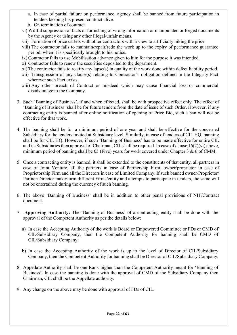- a. In case of partial failure on performance, agency shall be banned from future participation in tenders keeping his present contract alive.
- b. On termination of contract.
- vi) Willful suppression of facts or furnishing of wrong information or manipulated or forged documents by the Agency or using any other illegal/unfair means.
- vii) Formation of price cartels with other contractors with a view to artificially hiking the price.
- viii) The contractor fails to maintain/repair/redo the work up to the expiry of performance guarantee period, when it is specifically brought to his notice.
- ix) Contractor fails to use Mobilisation advance given to him for the purpose it was intended.
- x) Contractor fails to renew the securities deposited to the department.
- xi) The contractor fails to rectify any lapse(s) in quality of the work done within defect liability period.
- xii) Transgression of any clause(s) relating to Contractor's obligation defined in the Integrity Pact wherever such Pact exists.
- xiii) Any other breach of Contract or misdeed which may cause financial loss or commercial disadvantage to the Company.
- 3. Such 'Banning of Business', if and when effected, shall be with prospective effect only. The effect of 'Banning of Business' shall be for future tenders from the date of issue of such Order. However, if any contracting entity is banned after online notification of opening of Price Bid, such a ban will not be effective for that work.
- 4. The banning shall be for a minimum period of one year and shall be effective for the concerned Subsidiary for the tenders invited at Subsidiary level. Similarly, in case of tenders of CIL HQ, banning shall be for CIL HQ. However, if such 'Banning of Business' has to be made effective for entire CIL and its Subsidiaries then approval of Chairman, CIL shall be required. In case of clause 16(2)(vi) above, minimum period of banning shall be 05 (Five) years for work covered under Chapter 3 & 6 of CMM.
- 5. Once a contracting entity is banned, it shall be extended to the constituents of that entity, all partners in case of Joint Venture, all the partners in case of Partnership Firm, owner/proprietor in case of Proprietorship Firm and all the Directors in case of Limited Company. If such banned owner/Proprietor/ Partner/Director make/form different Firms/entity and attempts to participate in tenders, the same will not be entertained during the currency of such banning.
- 6. The above 'Banning of Business' shall be in addition to other penal provisions of NIT/Contract document.
- 7. Approving Authority: The 'Banning of Business' of a contracting entity shall be done with the approval of the Competent Authority as per the details below:
	- a) In case the Accepting Authority of the work is Board or Empowered Committee or FDs or CMD of CIL/Subsidiary Company, then the Competent Authority for banning shall be CMD of CIL/Subsidiary Company.
	- b) In case the Accepting Authority of the work is up to the level of Director of CIL/Subsidiary Company, then the Competent Authority for banning shall be Director of CIL/Subsidiary Company.
- 8. Appellate Authority shall be one Rank higher than the Competent Authority meant for 'Banning of Business'. In case the banning is done with the approval of CMD of the Subsidiary Company then Chairman, CIL shall be the Appellate authority.
- 9. Any change on the above may be done with approval of FDs of CIL.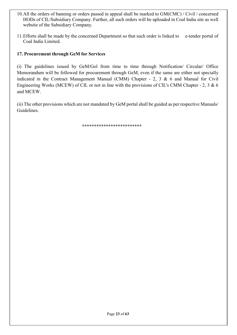- 10.All the orders of banning or orders passed in appeal shall be marked to GM(CMC) / Civil / concerned HODs of CIL/Subsidiary Company. Further, all such orders will be uploaded in Coal India site as well website of the Subsidiary Company.
- 11. Efforts shall be made by the concerned Department so that such order is linked to e-tender portal of Coal India Limited.

#### 17. Procurement through GeM for Services

(i) The guidelines issued by GeM/Gol from time to time through Notification/ Circular/ Office Memorandum will be followed for procurement through GeM, even if the same are either not specially indicated in the Contract Management Manual (CMM) Chapter - 2, 3 & 6 and Manual for Civil Engineering Works (MCEW) of CIL or not in line with the provisions of CIL's CMM Chapter - 2, 3 & 6 and MCEW.

(ii) The other provisions which are not mandated by GeM portal shall be guided as per respective Manuals/ Guidelines.

\*\*\*\*\*\*\*\*\*\*\*\*\*\*\*\*\*\*\*\*\*\*\*\*\*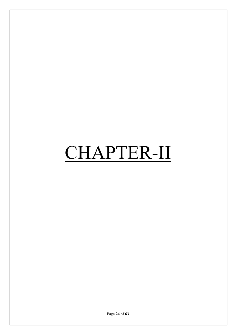# CHAPTER-II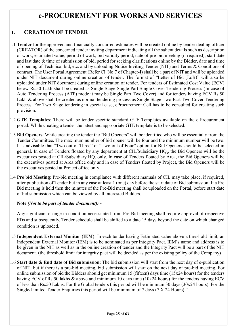# e-PROCUREMENT FOR WORKS AND SERVICES

# 1. CREATION OF TENDER

- 1.1 Tender for the approved and financially concurred estimates will be created online by tender dealing officer (CREATOR) of the concerned tender inviting department indicating all the salient details such as description of work, estimated value, period of work, bid validity period, date of pre-bid meeting (if required), start date and last date & time of submission of bid, period for seeking clarifications online by the Bidder, date and time of opening of Technical bid, etc. and by uploading Notice Inviting Tender (NIT) and Terms & Conditions of contract. The User Portal Agreement (Refer Cl. No.7 of Chapter-I) shall be a part of NIT and will be uploaded under NIT document during online creation of tender. The format of "Letter of Bid (LoB)" will also be uploaded under NIT document during online creation of tender. For tenders of Estimated Cost Value (ECV) below Rs.50 Lakh shall be created as Single Stage Single Part Single Cover Tendering Process (In case of Auto Tendering Process (ATP) mode it may be Single Part Two Cover) and for tenders having ECV Rs.50 Lakh & above shall be created as normal tendering process as Single Stage Two-Part Two Cover Tendering Process. For Two Stage tendering in special case, eProcurement Cell has to be consulted for creating such provision.
- 1.2 GTE Templates: There will be tender specific standard GTE Templates available on the e-Procurement portal. While creating a tender the latest and appropriate GTE template is to be selected.
- 1.3 Bid Openers: While creating the tender the "Bid Openers" will be identified who will be essentially from the Tender Committee. The maximum number of bid opener will be four and the minimum number will be two. It is advisable that "Two out of Three" or "Two out of Four" option for Bid Openers should be selected in general. In case of Tenders floated by any department at CIL/Subsidiary HQ., the Bid Openers will be the executives posted at CIL/Subsidiary HQ. only. In case of Tenders floated by Area, the Bid Openers will be the executives posted at Area office only and in case of Tenders floated by Project, the Bid Openers will be the executives posted at Project office only.
- 1.4 Pre bid Meeting: Pre-bid meeting in compliance with different manuals of CIL may take place, if required, after publication of Tender but in any case at least 1 (one) day before the start date of Bid submission. If a Pre Bid meeting is held then the minutes of the Pre-Bid meeting shall be uploaded on the Portal, before start date of bid submission which can be viewed by all interested Bidders.

#### Note (Not to be part of tender document): -

Any significant change in condition necessitated from Pre-Bid meeting shall require approval of respective FDs and subsequently, Tender schedule shall be shifted to a date 15 days beyond the date on which changed condition is uploaded.

- 1.5 Independent External Monitor (IEM): In each tender having Estimated value above a threshold limit, an Independent External Monitor (IEM) is to be nominated as per Integrity Pact. IEM's name and address is to be given in the NIT as well as in the online creation of tender and the Integrity Pact will be a part of the NIT document. (the threshold limit for integrity pact will be decided as per the existing policy of the Company)
- 1.6 Start date  $\&$  End date of Bid submission: The bid submission will start from the next day of e-publication of NIT, but if there is a pre-bid meeting, bid submission will start on the next day of pre-bid meeting. For online submission of bid the Bidders should get minimum 15 (fifteen) days time (15x24 hours) for the tenders having ECV of Rs.50 lakhs & above and minimum 10 days time (10x24 hours) for the tenders having ECV of less than Rs.50 Lakhs. For the Global tenders this period will be minimum 30 days (30x24 hours). For the Single/Limited Tender Enquiries this period will be minimum of 7 days (7 X 24 Hours).".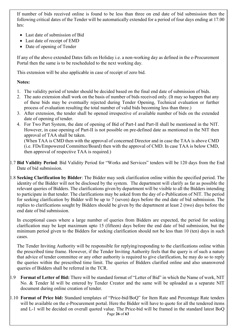If number of bids received online is found to be less than three on end date of bid submission then the following critical dates of the Tender will be automatically extended for a period of four days ending at 17.00 hrs:

- Last date of submission of Bid
- Last date of receipt of EMD
- Date of opening of Tender

If any of the above extended Dates falls on Holiday i.e. a non-working day as defined in the e-Procurement Portal then the same is to be rescheduled to the next working day.

This extension will be also applicable in case of receipt of zero bid.

#### Notes:

- 1. The validity period of tender should be decided based on the final end date of submission of bids.
- 2. The auto extension shall work on the basis of number of bids received only. (It may so happen that any of these bids may be eventually rejected during Tender Opening, Technical evaluation or further process of evaluation resulting the total number of valid bids becoming less than three.)
- 3. After extension, the tender shall be opened irrespective of available number of bids on the extended date of opening of tender.
- 4. For Two Part System, the date of opening of Bid of Part-I and Part-II shall be mentioned in the NIT. However, in case opening of Part-II is not possible on pre-defined date as mentioned in the NIT then approval of TAA shall be taken.

(When TAA is CMD then with the approval of concerned Director and in case the TAA is above CMD (i.e. FDs/Empowered Committee/Board) then with the approval of CMD. In case TAA is below CMD, then approval of respective TAA is required.)

- 1.7 Bid Validity Period: Bid Validity Period for "Works and Services" tenders will be 120 days from the End Date of bid submission.
- 1.8 Seeking Clarification by Bidder: The Bidder may seek clarification online within the specified period. The identity of the Bidder will not be disclosed by the system. The department will clarify as far as possible the relevant queries of Bidders. The clarifications given by department will be visible to all the Bidders intending to participate in that tender. The clarifications may be asked from the day of e-Publication of NIT. The period for seeking clarification by Bidder will be up to 7 (seven) days before the end date of bid submission. The replies to clarifications sought by Bidders should be given by the department at least 2 (two) days before the end date of bid submission.

In exceptional cases where a large number of queries from Bidders are expected, the period for seeking clarification may be kept maximum upto 15 (fifteen) days before the end date of bid submission, but the minimum period given to the Bidders for seeking clarification should not be less than 10 (ten) days in such cases.

The Tender Inviting Authority will be responsible for replying/responding to the clarifications online within the prescribed time frame. However, if the Tender Inviting Authority feels that the query is of such a nature that advice of tender committee or any other authority is required to give clarification, he may do so to reply the queries within the prescribed time limit. The queries of Bidders clarified online and also unanswered queries of Bidders shall be referred in the TCR.

- $1.9$  Format of Letter of Bid: There will be standard format of "Letter of Bid" in which the Name of work, NIT No. & Tender Id will be entered by Tender Creator and the same will be uploaded as a separate NIT document during online creation of tender.
- Page 26 of 63 1.10 Format of Price bid: Standard templates of "Price-bid/BoQ" for Item Rate and Percentage Rate tenders will be available on the e-Procurement portal. Here the Bidder will have to quote for all the tendered items and L-1 will be decided on overall quoted value. The Price-bid will be framed in the standard latest BoQ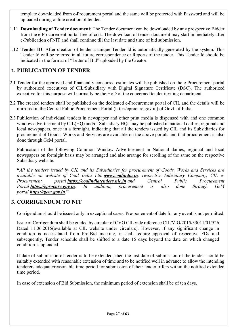template downloaded from e-Procurement portal and the same will be protected with Password and will be uploaded during online creation of tender.

- 1.11 Downloading of Tender document: The Tender document can be downloaded by any prospective Bidder from the e-Procurement portal free of cost. The download of tender document may start immediately after e-Publication of NIT and shall continue till the last date and time of bid submission.
- 1.12 Tender ID: After creation of tender a unique Tender Id is automatically generated by the system. This Tender Id will be referred in all future correspondence or Reports of the tender. This Tender Id should be indicated in the format of "Letter of Bid" uploaded by the Creator.

# 2. PUBLICATION OF TENDER

- 2.1 Tender for the approved and financially concurred estimates will be published on the e-Procurement portal by authorized executives of CIL/Subsidiary with Digital Signature Certificate (DSC). The authorized executive for this purpose will normally be the HoD of the concerned tender inviting department.
- 2.2 The created tenders shall be published on the dedicated e-Procurement portal of CIL and the details will be mirrored in the Central Public Procurement Portal (http://eprocure.gov.in) of Govt. of India.
- 2.3 Publication of individual tenders in newspaper and other print media is dispensed with and one common window advertisement by CIL(HQ) and/or Subsidiary HQs may be published in national dailies, regional and local newspapers, once in a fortnight, indicating that all the tenders issued by CIL and its Subsidiaries for procurement of Goods, Works and Services are available on the above portals and that procurement is also done through GeM portal.

Publication of the following Common Window Advertisement in National dailies, regional and local newspapers on fortnight basis may be arranged and also arrange for scrolling of the same on the respective Subsidiary website.

"All the tenders issued by CIL and its Subsidiaries for procurement of Goods, Works and Services are available on website of Coal India Ltd. www.coalindia.in, respective Subsidiary Company, CIL e-Procurement portal **https://coalindiatenders.nic.in** and Central Public Procurement Portal **https://eprocure.gov.in**. In addition, procurement is also done through GeM portal https://gem.gov.in."

# 3. CORRIGENDUM TO NIT

Corrigendum should be issued only in exceptional cases. Pre-ponement of date for any event is not permitted.

Issue of Corrigendum shall be guided by circular of CVO CIL vide reference CIL/VIG/2015/33011/01/526 Dated 11.06.2015(available at CIL website under circulars). However, if any significant change in condition is necessitated from Pre-Bid meeting, it shall require approval of respective FDs and subsequently, Tender schedule shall be shifted to a date 15 days beyond the date on which changed condition is uploaded.

If date of submission of tender is to be extended, then the last date of submission of the tender should be suitably extended with reasonable extension of time and to be notified well in advance to allow the intending tenderers adequate/reasonable time period for submission of their tender offers within the notified extended time period.

In case of extension of Bid Submission, the minimum period of extension shall be of ten days.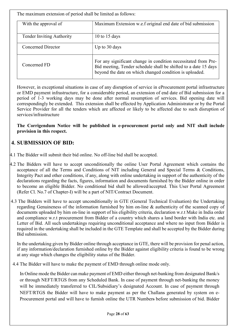The maximum extension of period shall be limited as follows:

| With the approval of             | Maximum Extension w.e.f original end date of bid submission                                                                                                                                  |
|----------------------------------|----------------------------------------------------------------------------------------------------------------------------------------------------------------------------------------------|
| <b>Tender Inviting Authority</b> | 10 to 15 days                                                                                                                                                                                |
| Concerned Director               | Up to 30 days                                                                                                                                                                                |
| Concerned FD                     | For any significant change in condition necessitated from Pre-<br>Bid meeting, Tender schedule shall be shifted to a date 15 days<br>beyond the date on which changed condition is uploaded. |

However, in exceptional situations in case of any disruption of service in eProcurement portal infrastructure or EMD payment infrastructure, for a considerable period, an extension of end date of Bid submission for a period of 1-3 working days may be done after normal resumption of services. Bid opening date will correspondingly be extended. This extension shall be effected by Application Administrator or by the Portal Service Provider for all the tenders which are affected or likely to be affected due to such disruption of services/infrastructure

The Corrigendum Notice will be published in e-procurement portal only and NIT shall include provision in this respect.

# 4. SUBMISSION OF BID:

- 4.1 The Bidder will submit their bid online. No off-line bid shall be accepted.
- 4.2 The Bidders will have to accept unconditionally the online User Portal Agreement which contains the acceptance of all the Terms and Conditions of NIT including General and Special Terms & Conditions, Integrity Pact and other conditions, if any, along with online undertaking in support of the authenticity of the declarations regarding the facts, figures, information and documents furnished by the Bidder online in order to become an eligible Bidder. No conditional bid shall be allowed/accepted. This User Portal Agreement (Refer Cl. No.7 of Chapter-I) will be a part of NIT/Contract Document.
- 4.3 The Bidders will have to accept unconditionally in GTE (General Technical Evaluation) the Undertaking regarding Genuineness of the information furnished by him on-line & authenticity of the scanned copy of documents uploaded by him on-line in support of his eligibility criteria, declaration w.r.t Make in India order and compliance w.r.t procurement from Bidder of a country which shares a land border with India etc. and Letter of Bid. All such undertakings requiring unconditional acceptance and where no input from Bidder is required in the undertaking shall be included in the GTE Template and shall be accepted by the Bidder during Bid submission.

In the undertaking given by Bidder online through acceptance in GTE, there will be provision for penal action, if any information/declaration furnished online by the Bidder against eligibility criteria is found to be wrong at any stage which changes the eligibility status of the Bidder.

4.4 The Bidder will have to make the payment of EMD through online mode only.

In Online mode the Bidder can make payment of EMD either through net-banking from designated Bank/s or through NEFT/RTGS from any Scheduled Bank. In case of payment through net-banking the money will be immediately transferred to CIL/Subsidiary's designated Account. In case of payment through NEFT/RTGS the Bidder will have to make payment as per the Challans generated by system on e-Procurement portal and will have to furnish online the UTR Numbers before submission of bid. Bidder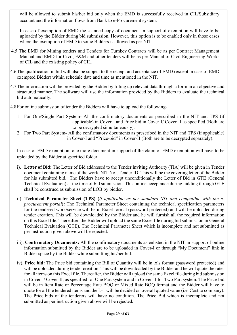will be allowed to submit his/her bid only when the EMD is successfully received in CIL/Subsidiary account and the information flows from Bank to e-Procurement system.

In case of exemption of EMD the scanned copy of document in support of exemption will have to be uploaded by the Bidder during bid submission. However, this option is to be enabled only in those cases where the exemption of EMD to some Bidders is allowed as per NIT.

- 4.5 The EMD for Mining tenders and Tenders for Turnkey Contracts will be as per Contract Management Manual and EMD for Civil, E&M and other tenders will be as per Manual of Civil Engineering Works of CIL and the existing policy of CIL.
- 4.6 The qualification in bid will also be subject to the receipt and acceptance of EMD (except in case of EMD exempted Bidder) within schedule date and time as mentioned in the NIT.
- 4.7 The information will be provided by the Bidder by filling up relevant data through a form in an objective and structured manner. The software will use the information provided by the Bidders to evaluate the technical bid automatically.
- 4.8 For online submission of tender the Bidders will have to upload the following-
	- 1. For One/Single Part System- All the confirmatory documents as prescribed in the NIT and TPS (if applicable) in Cover-I and Price bid in Cover-I/ Cover-II as specified (Both are to be decrypted simultaneously).
	- 2. For Two Part System- All the confirmatory documents as prescribed in the NIT and TPS (if applicable) in Cover-I and "Price-bid" in Cover-II (Both are to be decrypted separately).

In case of EMD exemption, one more document in support of the claim of EMD exemption will have to be uploaded by the Bidder at specified folder.

- i). Letter of Bid: The Letter of Bid addressed to the Tender Inviting Authority (TIA) will be given in Tender document containing name of the work, NIT No., Tender ID. This will be the covering letter of the Bidder for his submitted bid. The Bidders have to accept unconditionally the Letter of Bid in GTE (General Technical Evaluation) at the time of bid submission. This online acceptance during bidding through GTE shall be construed as submission of LOB by bidder.
- ii). Technical Parameter Sheet (TPS) (If applicable as per standard NIT and compatible with the eprocurement portal): The Technical Parameter Sheet containing the technical specification parameters for the tendered work/service will be in Excel format (password protected) and will be uploaded during tender creation. This will be downloaded by the Bidder and he will furnish all the required information on this Excel file. Thereafter, the Bidder will upload the same Excel file during bid submission in General Technical Evaluation (GTE). The Technical Parameter Sheet which is incomplete and not submitted as per instruction given above will be rejected.
- iii). Confirmatory Documents: All the confirmatory documents as enlisted in the NIT in support of online information submitted by the Bidder are to be uploaded in Cover-I or through "My Document" link in Bidder space by the Bidder while submitting his/her bid.
- iv). Price bid: The Price bid containing the Bill of Quantity will be in .xls format (password protected) and will be uploaded during tender creation. This will be downloaded by the Bidder and he will quote the rates for all items on this Excel file. Thereafter, the Bidder will upload the same Excel file during bid submission in Cover-I/ Cover-II, as specified for One Part system and in Cover-II for Two Part system. The Price-bid will be in Item Rate or Percentage Rate BOQ or Mixed Rate BOQ format and the Bidder will have to quote for all the tendered items and the L-1 will be decided on overall quoted value (i.e. Cost to company). The Price-bids of the tenderers will have no condition. The Price Bid which is incomplete and not submitted as per instruction given above will be rejected.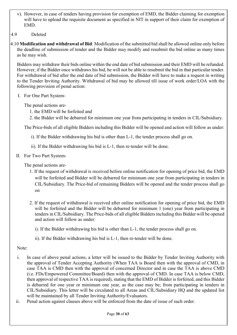- v). However, in case of tenders having provision for exemption of EMD, the Bidder claiming for exemption will have to upload the requisite document as specified in NIT in support of their claim for exemption of EMD.
- 4.9 Deleted
- 4.10 Modification and withdrawal of Bid: Modification of the submitted bid shall be allowed online only before the deadline of submission of tender and the Bidder may modify and resubmit the bid online as many times as he may wish.

Bidders may withdraw their bids online within the end date of bid submission and their EMD will be refunded. However, if the Bidder once withdraws his bid, he will not be able to resubmit the bid in that particular tender. For withdrawal of bid after the end date of bid submission, the Bidder will have to make a request in writing to the Tender Inviting Authority. Withdrawal of bid may be allowed till issue of work order/LOA with the following provision of penal action:

I. For One Part System-

The penal actions are-

- 1. the EMD will be forfeited and
- 2. the Bidder will be debarred for minimum one year from participating in tenders in CIL/Subsidiary.

The Price-bids of all eligible Bidders including this Bidder will be opened and action will follow as under:

i). If the Bidder withdrawing his bid is other than L-1, the tender process shall go on.

ii). If the Bidder withdrawing his bid is L-1, then re-tender will be done.

II. For Two Part System-

The penal actions are-

- 1. If the request of withdrawal is received before online notification for opening of price bid, the EMD will be forfeited and Bidder will be debarred for minimum one year from participating in tenders in CIL/Subsidiary. The Price-bid of remaining Bidders will be opened and the tender process shall go on
- 2. If the request of withdrawal is received after online notification for opening of price bid, the EMD will be forfeited and the Bidder will be debarred for minimum 1 (one) year from participating in tenders in CIL/Subsidiary. The Price-bids of all eligible Bidders including this Bidder will be opened and action will follow as under:
	- i). If the Bidder withdrawing his bid is other than L-1, the tender process shall go on.
	- ii). If the Bidder withdrawing his bid is L-1, then re-tender will be done.

#### Note:

- i. In case of above penal actions, a letter will be issued to the Bidder by Tender Inviting Authority with the approval of Tender Accepting Authority (When TAA is Board then with the approval of CMD, in case TAA is CMD then with the approval of concerned Director and in case the TAA is above CMD (i.e. FDs/Empowered Committee/Board) then with the approval of CMD. In case TAA is below CMD, then approval of respective TAA is required), stating that the EMD of Bidder is forfeited, and this Bidder is debarred for one year or minimum one year, as the case may be; from participating in tenders in CIL/Subsidiary. This letter will be circulated to all Areas and CIL/Subsidiary HQ and the updated list will be maintained by all Tender Inviting Authority/Evaluators.
- ii. Penal action against clauses above will be enforced from the date of issue of such order.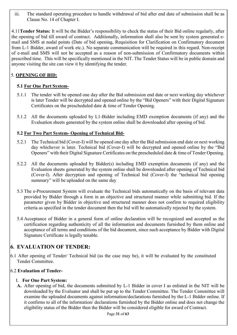iii. The standard operating procedure to handle withdrawal of bid after end date of submission shall be as Clause No. 14 of Chapter I.

 4.11Tender Status: It will be the Bidder's responsibility to check the status of their Bid online regularly, after the opening of bid till award of contract. Additionally, information shall also be sent by system generated email and SMS at nodal points (Date of bid opening, Requisition for Clarification on Confirmatory document from L-1 Bidder, award of work etc.). No separate communication will be required in this regard. Non-receipt of e-mail and SMS will not be accepted as a reason of non-submission of Confirmatory documents within prescribed time. This will be specifically mentioned in the NIT. The Tender Status will be in public domain and anyone visiting the site can view it by identifying the tender.

### 5. OPENING OF BID:

#### 5.1 For One Part System-

- 5.1.1 The tender will be opened one day after the Bid submission end date or next working day whichever is later Tender will be decrypted and opened online by the "Bid Openers" with their Digital Signature Certificates on the prescheduled date & time of Tender Opening.
- 5.1.2 All the documents uploaded by L1-Bidder including EMD exemption documents (if any) and the Evaluation sheets generated by the system online shall be downloaded after opening of bid.

#### 5.2 For Two Part System- Opening of Technical Bid-

- 5.2.1 The Technical bid (Cover-I) will be opened one day after the Bid submission end date or next working day whichever is later. Technical bid (Cover-I) will be decrypted and opened online by the "Bid Openers" with their Digital Signature Certificates on the prescheduled date & time of Tender Opening.
- 5.2.2 All the documents uploaded by Bidder(s) including EMD exemption documents (if any) and the Evaluation sheets generated by the system online shall be downloaded after opening of Technical bid (Cover-I). After decryption and opening of Technical bid (Cover-I) the "technical bid opening summary" will be uploaded on the same day
- 5.3 The e-Procurement System will evaluate the Technical bids automatically on the basis of relevant data provided by Bidder through a form in an objective and structured manner while submitting bid. If the parameter given by Bidder in objective and structured manner does not confirm to required eligibility criteria as specified in the tender document then the bid will be automatically rejected by the system.
- 5.4 Acceptance of Bidder in a general form of online declaration will be recognized and accepted as the certification regarding authenticity of all the information and documents furnished by them online and acceptance of all terms and conditions of the bid document, since such acceptance by Bidder with Digital Signature Certificate is legally tenable.

# 6. EVALUATION OF TENDER:

 6.1 After opening of Tender/ Technical bid (as the case may be), it will be evaluated by the constituted Tender Committee.

#### 6.2 Evaluation of Tender-

#### I. For One Part System:

A. After opening of bid, the documents submitted by L-1 Bidder in cover I as enlisted in the NIT will be downloaded by the Evaluator and shall be put up to the Tender Committee. The Tender Committee will examine the uploaded documents against information/declarations furnished by the L-1 Bidder online. If it confirms to all of the information/ declarations furnished by the Bidder online and does not change the eligibility status of the Bidder then the Bidder will be considered eligible for award of Contract.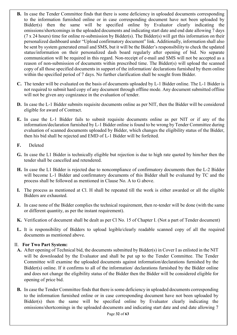- B. In case the Tender Committee finds that there is some deficiency in uploaded documents corresponding to the information furnished online or in case corresponding document have not been uploaded by Bidder(s) then the same will be specified online by Evaluator clearly indicating the omissions/shortcomings in the uploaded documents and indicating start date and end date allowing 7 days (7 x 24 hours) time for online re-submission by Bidder(s). The Bidder(s) will get this information on their personalized dashboard under "Upload confirmatory document" link. Additionally, information shall also be sent by system generated email and SMS, but it will be the Bidder's responsibility to check the updated status/information on their personalized dash board regularly after opening of bid. No separate communication will be required in this regard. Non-receipt of e-mail and SMS will not be accepted as a reason of non-submission of documents within prescribed time. The Bidder(s) will upload the scanned copy of all those specified documents in support of the information/ declarations furnished by them online within the specified period of 7 days. No further clarification shall be sought from Bidder.
- C. The tender will be evaluated on the basis of documents uploaded by L-1 Bidder online. The L-1 Bidder is not required to submit hard copy of any document through offline mode. Any document submitted offline will not be given any cognizance in the evaluation of tender.
- D. In case the L-1 Bidder submits requisite documents online as per NIT, then the Bidder will be considered eligible for award of Contract.
- E. In case the L-1 Bidder fails to submit requisite documents online as per NIT or if any of the information/declaration furnished by L-1 Bidder online is found to be wrong by Tender Committee during evaluation of scanned documents uploaded by Bidder, which changes the eligibility status of the Bidder, then his bid shall be rejected and EMD of L-1 Bidder will be forfeited.
- F. Deleted
- G. In case the L1 Bidder is technically eligible but rejection is due to high rate quoted by him/her then the tender shall be cancelled and retendered.
- H. In case the L1 Bidder is rejected due to noncompliance of confirmatory documents then the L-2 Bidder will become L-1 Bidder and confirmatory documents of this Bidder shall be evaluated by TC and the process shall be followed as mentioned in Clause No. A to G above.
- I. The process as mentioned at Cl. H shall be repeated till the work is either awarded or all the eligible Bidders are exhausted.
- J. In case none of the Bidder complies the technical requirement, then re-tender will be done (with the same or different quantity, as per the instant requirement).
- K. Verification of document shall be dealt as per Cl No. 15 of Chapter I. (Not a part of Tender document)
- L. It is responsibility of Bidders to upload legible/clearly readable scanned copy of all the required documents as mentioned above.

#### II. For Two Part System:

- A. After opening of Technical bid, the documents submitted by Bidder(s) in Cover I as enlisted in the NIT will be downloaded by the Evaluator and shall be put up to the Tender Committee. The Tender Committee will examine the uploaded documents against information/declarations furnished by the Bidder(s) online. If it confirms to all of the information/ declarations furnished by the Bidder online and does not change the eligibility status of the Bidder then the Bidder will be considered eligible for opening of price bid.
- B. In case the Tender Committee finds that there is some deficiency in uploaded documents corresponding to the information furnished online or in case corresponding document have not been uploaded by Bidder(s) then the same will be specified online by Evaluator clearly indicating the omissions/shortcomings in the uploaded documents and indicating start date and end date allowing 7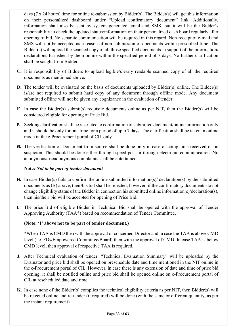days (7 x 24 hours) time for online re-submission by Bidder(s). The Bidder(s) will get this information on their personalized dashboard under "Upload confirmatory document" link. Additionally, information shall also be sent by system generated email and SMS, but it will be the Bidder's responsibility to check the updated status/information on their personalized dash board regularly after opening of bid. No separate communication will be required in this regard. Non-receipt of e-mail and SMS will not be accepted as a reason of non-submission of documents within prescribed time. The Bidder(s) will upload the scanned copy of all those specified documents in support of the information/ declarations furnished by them online within the specified period of 7 days. No further clarification shall be sought from Bidder.

- C. It is responsibility of Bidders to upload legible/clearly readable scanned copy of all the required documents as mentioned above.
- D. The tender will be evaluated on the basis of documents uploaded by Bidder(s) online. The Bidder(s) is/are not required to submit hard copy of any document through offline mode. Any document submitted offline will not be given any cognizance in the evaluation of tender.
- E. In case the Bidder(s) submit(s) requisite documents online as per NIT, then the Bidder(s) will be considered eligible for opening of Price Bid.
- F. Seeking clarification shall be restricted to confirmation of submitted document/online information only and it should be only for one time for a period of upto 7 days. The clarification shall be taken in online mode in the e-Procurement portal of CIL only.
- G. The verification of Document from source shall be done only in case of complaints received or on suspicion. This should be done either through speed post or through electronic communication. No anonymous/pseudonymous complaints shall be entertained.

#### Note: Not to be part of tender document

- H. In case Bidder(s) fails to confirm the online submitted information(s)/ declaration(s) by the submitted documents as (B) above, their/his bid shall be rejected; however, if the confirmatory documents do not change eligibility status of the Bidder in connection his submitted online information(s)/declaration(s), then his/their bid will be accepted for opening of Price Bid.
- I. The price Bid of eligible Bidder in Technical Bid shall be opened with the approval of Tender Approving Authority (TAA\*) based on recommendation of Tender Committee.

#### (Note: 'I' above not to be part of tender document.)

\*When TAA is CMD then with the approval of concerned Director and in case the TAA is above CMD level (i.e. FDs/Empowered Committee/Board) then with the approval of CMD. In case TAA is below CMD level, then approval of respective TAA is required.

- J. After Technical evaluation of tender, "Technical Evaluation Summary" will be uploaded by the Evaluator and price bid shall be opened on preschedule date and time mentioned in the NIT online in the e-Procurement portal of CIL. However, in case there is any extension of date and time of price bid opening, it shall be notified online and price bid shall be opened online on e-Procurement portal of CIL at rescheduled date and time.
- K. In case none of the Bidder(s) complies the technical eligibility criteria as per NIT, then Bidder(s) will be rejected online and re-tender (if required) will be done (with the same or different quantity, as per the instant requirement).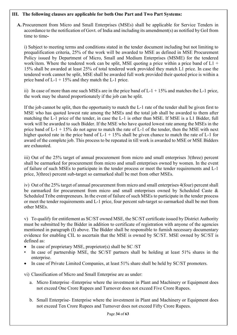#### III. The following clauses are applicable for both One Part and Two Part Systems:

A. Procurement from Micro and Small Enterprises (MSEs) shall be applicable for Service Tenders in accordance to the notification of Govt. of India and including its amendment(s) as notified by GoI from time to time-

i) Subject to meeting terms and conditions stated in the tender document including but not limiting to prequalification criteria, 25% of the work will be awarded to MSE as defined in MSE Procurement Policy issued by Department of Micro, Small and Medium Enterprises (MSME) for the tendered work/item. Where the tendered work can be split, MSE quoting a price within a price band of  $L1$  + 15% shall be awarded at least 25% of total tendered work provided they match L1 price. In case the tendered work cannot be split, MSE shall be awarded full work provided their quoted price is within a price band of  $L-1 + 15%$  and they match the  $L-1$  price.

ii) In case of more than one such MSEs are in the price band of  $L-1 + 15%$  and matches the L-1 price, the work may be shared proportionately if the job can be split.

If the job cannot be split, then the opportunity to match the L-1 rate of the tender shall be given first to MSE who has quoted lowest rate among the MSEs and the total job shall be awarded to them after matching the L-1 price of the tender, in case the L-1 is other than MSE. If MSE is a L1 Bidder, full work will be awarded to such Bidder. If the MSE who have quoted lowest rate among the MSEs in the price band of  $L-1 + 15%$  do not agree to match the rate of  $L-1$  of the tender, then the MSE with next higher quoted rate in the price band of  $L-1 + 15\%$  shall be given chance to match the rate of  $L-1$  for award of the complete job. This process to be repeated in till work is awarded to MSE or MSE Bidders are exhausted.

iii) Out of the 25% target of annual procurement from micro and small enterprises 3(three) percent shall be earmarked for procurement from micro and small enterprises owned by women. In the event of failure of such MSEs to participate in the tender process or meet the tender requirements and L-1 price, 3(three) percent sub-target so earmarked shall be met from other MSEs.

iv) Out of the 25% target of annual procurement from micro and small enterprises 4(four) percent shall be earmarked for procurement from micro and small enterprises owned by Scheduled Caste & Scheduled Tribe entrepreneurs. In the event of failure of such MSEs to participate in the tender process or meet the tender requirements and L-1 price, four percent sub-target so earmarked shall be met from other MSEs.

v) To qualify for entitlement as SC/ST owned MSE, the SC/ST certificate issued by District Authority must be submitted by the Bidder in addition to certificate of registration with anyone of the agencies mentioned in paragraph (I) above. The Bidder shall be responsible to furnish necessary documentary evidence for enabling CIL to ascertain that the MSE is owned by SC/ST. MSE owned by SC/ST is defined as:

- In case of proprietary MSE, proprietor(s) shall be SC /ST
- In case of partnership MSE, the SC/ST partners shall be holding at least 51% shares in the enterprise.
- In case of Private Limited Companies, at least 51% share shall be held by SC/ST promoters.

vi) Classification of Micro and Small Enterprise are as under:

- a. Micro Enterprise -Enterprise where the investment in Plant and Machinery or Equipment does not exceed One Crore Rupees and Turnover does not exceed Five Crore Rupees.
- b. Small Enterprise- Enterprise where the investment in Plant and Machinery or Equipment does not exceed Ten Crore Rupees and Turnover does not exceed Fifty Crore Rupees.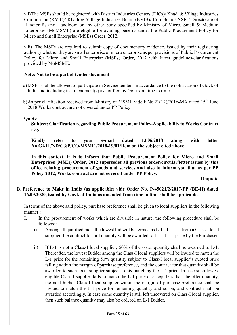vii)The MSEs should be registered with District Industries Centers (DICs)/ Khadi & Village Industries Commission (KVIC)/ Khadi & Village Industries Board (KVIB)/ Coir Board/ NSIC/ Directorate of Handicrafts and Handloom or any other body specified by Ministry of Micro, Small & Medium Enterprises (MoMSME) are eligible for availing benefits under the Public Procurement Policy for Micro and Small Enterprise (MSEs) Order, 2012.

viii) The MSEs are required to submit copy of documentary evidence, issued by their registering authority whether they are small enterprise or micro enterprise as per provisions of Public Procurement Policy for Micro and Small Enterprise (MSEs) Order, 2012 with latest guidelines/clarifications provided by MoMSME.

#### Note: Not to be a part of tender document

- a) MSEs shall be allowed to participate in Service tenders in accordance to the notification of Govt. of India and including its amendment(s) as notified by GoI from time to time.
- b)As per clarification received from Ministry of MSME vide F.No.21(12)/2016-MA dated 15<sup>th</sup> June 2018 Works contract are not covered under PP Policy:

#### **Ouote**

Subject: Clarification regarding Public Procurement Policy-Applicability to Works Contract reg.

Kindly refer to your e-mail dated 13.06.2018 along with letter No.GAIL/ND/C&P/CO/MSME /2018-19/01/Rem on the subject cited above.

In this context, it is to inform that Public Procurement Policy for Micro and Small Enterprises (MSEs) Order, 2012 supersedes all previous order/circular/letter issues by this office relating procurement of goods and services and also to inform you that as per PP Policy-2012, Works contract are not covered under PP Policy.

Unquote

#### B. Preference to Make in India (as applicable) vide Order No. P-45021/2/2017-PP (BE-II) dated 16.09.2020, issued by Govt. of India as amended from time to time shall be applicable.

In terms of the above said policy, purchase preference shall be given to local suppliers in the following manner :

- I. In the procurement of works which are divisible in nature, the following procedure shall be followed:
	- i) Among all qualified bids, the lowest bid will be termed as L-1. If L-1 is from a Class-I local supplier, the contract for full quantity will be awarded to L-1 at L-1 price by the Purchaser.
	- ii) If L-1 is not a Class-I local supplier, 50% of the order quantity shall be awarded to L-1. Thereafter, the lowest Bidder among the Class-I local suppliers will be invited to match the L-1 price for the remaining 50% quantity subject to Class-I local supplier's quoted price falling within the margin of purchase preference, and the contract for that quantity shall be awarded to such local supplier subject to his matching the L-1 price. In case such lowest eligible Class-I supplier fails to match the L-1 price or accept less than the offer quantity, the next higher Class-I local supplier within the margin of purchase preference shall be invited to match the L-1 price for remaining quantity and so on, and contract shall be awarded accordingly. In case some quantity is still left uncovered on Class-I local supplier, then such balance quantity may also be ordered on L-1 Bidder.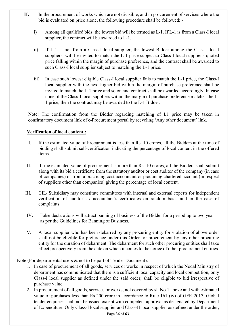- II. In the procurement of works which are not divisible, and in procurement of services where the bid is evaluated on price alone, the following procedure shall be followed:
	- i) Among all qualified bids, the lowest bid will be termed as L-1. If L-1 is from a Class-I local supplier, the contract will be awarded to L-1.
	- ii) If L-1 is not from a Class-I local supplier, the lowest Bidder among the Class-I local suppliers, will be invited to match the L-1 price subject to Class-I local supplier's quoted price falling within the margin of purchase preference, and the contract shall be awarded to such Class-I local supplier subject to matching the L-1 price.
	- iii) In case such lowest eligible Class-I local supplier fails to match the L-1 price, the Class-I local supplier with the next higher bid within the margin of purchase preference shall be invited to match the L-1 price and so on and contract shall be awarded accordingly. In case none of the Class-I local suppliers within the margin of purchase preference matches the L-1 price, then the contract may be awarded to the L-1 Bidder.

Note: The confirmation from the Bidder regarding matching of L1 price may be taken in confirmatory document link of e-Procurement portal by recycling 'Any other document' link.

#### Verification of local content :

- I. If the estimated value of Procurement is less than Rs. 10 crores, all the Bidders at the time of bidding shall submit self-certification indicating the percentage of local content in the offered items.
- II. If the estimated value of procurement is more than Rs. 10 crores, all the Bidders shall submit along with its bid a certificate from the statutory auditor or cost auditor of the company (in case of companies) or from a practicing cost accountant or practicing chartered account (in respect of suppliers other than companies) giving the percentage of local content.
- III. CIL/ Subsidiary may constitute committees with internal and external experts for independent verification of auditor's / accountant's certificates on random basis and in the case of complaints.
- IV. False declarations will attract banning of business of the Bidder for a period up to two year as per the Guidelines for Banning of Business.
- V. A local supplier who has been debarred by any procuring entity for violation of above order shall not be eligible for preference under this Order for procurement by any other procuring entity for the duration of debarment. The debarment for such other procuring entities shall take effect prospectively from the date on which it comes to the notice of other procurement entities.

Note (For departmental users & not to be part of Tender Document):

- 1. In case of procurement of all goods, services or works in respect of which the Nodal Ministry of department has communicated that there is a sufficient local capacity and local competition, only Class-I local supplier as defined under the said order, shall be eligible to bid irrespective of purchase value.
- 2. In procurement of all goods, services or works, not covered by sl. No.1 above and with estimated value of purchases less than Rs.200 crore in accordance to Rule 161 (iv) of GFR 2017, Global tender enquiries shall not be issued except with competent approval as designated by Department of Expenditure. Only Class-I local supplier and Class-II local supplier as defined under the order,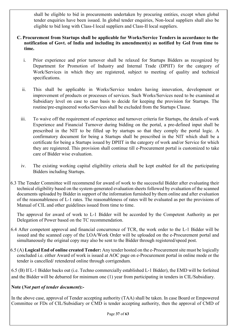shall be eligible to bid in procurements undertaken by procuring entities, except when global tender enquiries have been issued. In global tender enquiries, Non-local suppliers shall also be eligible to bid long with Class-I local suppliers and Class-II local suppliers.

#### C. Procurement from Startups shall be applicable for Works/Service Tenders in accordance to the notification of Govt. of India and including its amendment(s) as notified by GoI from time to time.

- i. Prior experience and prior turnover shall be relaxed for Startups Bidders as recognized by Department for Promotion of Industry and Internal Trade (DPIIT) for the category of Work/Services in which they are registered, subject to meeting of quality and technical specifications.
- ii. This shall be applicable in Works/Service tenders having innovation, development or improvement of products or processes of services. Such Works/Services need to be examined at Subsidiary level on case to case basis to decide for keeping the provision for Startups. The routine/pre-engineered works/Services shall be excluded from the Startups Clause.
- iii. To waive off the requirement of experience and turnover criteria for Startups, the details of work Experience and Financial Turnover during bidding on the portal, a pre-defined input shall be prescribed in the NIT to be filled up by startups so that they comply the portal logic. A confirmatory document for being a Startups shall be prescribed in the NIT which shall be a certificate for being a Startups issued by DPIIT in the category of work and/or Service for which they are registered. This provision shall continue till e-Procurement portal is customized to take care of Bidder wise evaluation.
- iv. The existing working capital eligibility criteria shall be kept enabled for all the participating Bidders including Startups.
- 6.3 The Tender Committee will recommend for award of work to the successful Bidder after evaluating their technical eligibility based on the system-generated evaluation sheets followed by evaluation of the scanned documents uploaded by Bidder in support of the information furnished by them online and after evaluation of the reasonableness of L-1 rates. The reasonableness of rates will be evaluated as per the provisions of Manual of CIL and other guidelines issued from time to time.

The approval for award of work to L-1 Bidder will be accorded by the Competent Authority as per Delegation of Power based on the TC recommendation.

- 6.4 After competent approval and financial concurrence of TCR, the work order to the L-1 Bidder will be issued and the scanned copy of the LOA/Work Order will be uploaded on the e-Procurement portal and simultaneously the original copy may also be sent to the Bidder through registered/speed post.
- $6.5$  (A) Logical End of online created Tender: Any tender hosted on the e-Procurement site must be logically concluded i.e. either Award of work is issued at AOC page on e-Procurement portal in online mode or the tender is cancelled/ retendered online through corrigendum.

6.5 (B) If L-1 Bidder backs out (i.e. Techno commercially established L-1 Bidder), the EMD will be forfeited and the Bidder will be debarred for minimum one (1) year from participating in tenders in CIL/Subsidiary.

#### Note (Not part of tender document):-

In the above case, approval of Tender accepting authority (TAA) shall be taken. In case Board or Empowered Committee or FDs of CIL/Subsidiary or CMD is tender accepting authority, then the approval of CMD of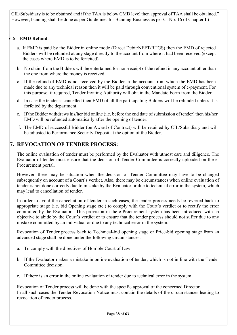CIL/Subsidiary is to be obtained and if the TAA is below CMD level then approval of TAA shall be obtained." However, banning shall be done as per Guidelines for Banning Business as per Cl No. 16 of Chapter I.)

#### 6.6 EMD Refund:

- a. If EMD is paid by the Bidder in online mode (Direct Debit/NEFT/RTGS) then the EMD of rejected Bidders will be refunded at any stage directly to the account from where it had been received (except the cases where EMD is to be forfeited).
- b. No claim from the Bidders will be entertained for non-receipt of the refund in any account other than the one from where the money is received.
- c. If the refund of EMD is not received by the Bidder in the account from which the EMD has been made due to any technical reason then it will be paid through conventional system of e-payment. For this purpose, if required, Tender Inviting Authority will obtain the Mandate Form from the Bidder.
- d. In case the tender is cancelled then EMD of all the participating Bidders will be refunded unless it is forfeited by the department.
- e. If the Bidder withdraws his/her bid online (i.e. before the end date of submission of tender) then his/her EMD will be refunded automatically after the opening of tender.
- f. The EMD of successful Bidder (on Award of Contract) will be retained by CIL/Subsidiary and will be adjusted to Performance Security Deposit at the option of the Bidder.

# 7. REVOCATION OF TENDER PROCESS:

The online evaluation of tender must be performed by the Evaluator with utmost care and diligence. The Evaluator of tender must ensure that the decision of Tender Committee is correctly uploaded on the e-Procurement portal.

However, there may be situation when the decision of Tender Committee may have to be changed subsequently on account of a Court's verdict. Also, there may be circumstances when online evaluation of tender is not done correctly due to mistake by the Evaluator or due to technical error in the system, which may lead to cancellation of tender.

In order to avoid the cancellation of tender in such cases, the tender process needs be reverted back to appropriate stage (i.e. bid Opening stage etc.) to comply with the Court's verdict or to rectify the error committed by the Evaluator. This provision in the e-Procurement system has been introduced with an objective to abide by the Court's verdict or to ensure that the tender process should not suffer due to any mistake committed by an individual or due to any technical error in the system.

Revocation of Tender process back to Technical-bid opening stage or Price-bid opening stage from an advanced stage shall be done under the following circumstances:

- a. To comply with the directives of Hon'ble Court of Law.
- b. If the Evaluator makes a mistake in online evaluation of tender, which is not in line with the Tender Committee decision.
- c. If there is an error in the online evaluation of tender due to technical error in the system.

Revocation of Tender process will be done with the specific approval of the concerned Director. In all such cases the Tender Revocation Notice must contain the details of the circumstances leading to revocation of tender process.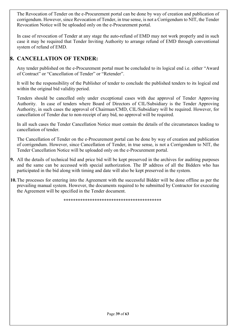The Revocation of Tender on the e-Procurement portal can be done by way of creation and publication of corrigendum. However, since Revocation of Tender, in true sense, is not a Corrigendum to NIT, the Tender Revocation Notice will be uploaded only on the e-Procurement portal.

In case of revocation of Tender at any stage the auto-refund of EMD may not work properly and in such case it may be required that Tender Inviting Authority to arrange refund of EMD through conventional system of refund of EMD.

# 8. CANCELLATION OF TENDER:

Any tender published on the e-Procurement portal must be concluded to its logical end i.e. either "Award of Contract" or "Cancellation of Tender" or "Retender".

It will be the responsibility of the Publisher of tender to conclude the published tenders to its logical end within the original bid validity period.

Tenders should be cancelled only under exceptional cases with due approval of Tender Approving Authority. In case of tenders where Board of Directors of CIL/Subsidiary is the Tender Approving Authority, in such cases the approval of Chairman/CMD, CIL/Subsidiary will be required. However, for cancellation of Tender due to non-receipt of any bid, no approval will be required.

In all such cases the Tender Cancellation Notice must contain the details of the circumstances leading to cancellation of tender.

The Cancellation of Tender on the e-Procurement portal can be done by way of creation and publication of corrigendum. However, since Cancellation of Tender, in true sense, is not a Corrigendum to NIT, the Tender Cancellation Notice will be uploaded only on the e-Procurement portal.

- 9. All the details of technical bid and price bid will be kept preserved in the archives for auditing purposes and the same can be accessed with special authorization. The IP address of all the Bidders who has participated in the bid along with timing and date will also be kept preserved in the system.
- 10. The processes for entering into the Agreement with the successful Bidder will be done offline as per the prevailing manual system. However, the documents required to be submitted by Contractor for executing the Agreement will be specified in the Tender document.

\*\*\*\*\*\*\*\*\*\*\*\*\*\*\*\*\*\*\*\*\*\*\*\*\*\*\*\*\*\*\*\*\*\*\*\*\*\*\*\*\*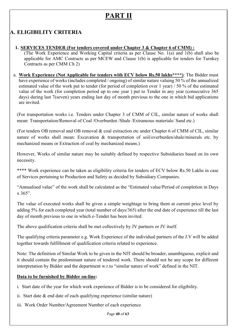# PART II

# A. ELIGIBILITY CRITERIA

1. SERVICES TENDER (For tenders covered under Chapter 3 & Chapter 6 of CMM) :

(The Work Experience and Working Capital criteria as per Clause No. 1(a) and 1(b) shall also be applicable for AMC Contracts as per MCEW and Clause 1(b) is applicable for tenders for Turnkey Contracts as per CMM Ch 2)

a. Work Experience (Not Applicable for tenders with ECV below Rs.50 lakhs\*\*\*\*): The Bidder must have experience of works (includes completed / ongoing) of similar nature valuing 50 % of the annualized estimated value of the work put to tender (for period of completion over 1 year) / 50 % of the estimated value of the work (for completion period up to one year ) put to Tender in any year (consecutive 365 days) during last 7(seven) years ending last day of month previous to the one in which bid applications are invited.

(For transportation works i.e. Tenders under Chapter 3 of CMM of CIL, similar nature of works shall mean: Transportation/Removal of Coal /Overburden /Shale /Extraneous materials/ Sand etc.)

(For tenders OB removal and OB removal & coal extraction etc under Chapter 6 of CMM of CIL, similar nature of works shall mean: Excavation & transportation of soil/overburden/shale/minerals etc. by mechanized means or Extraction of coal by mechanized means.)

However, Works of similar nature may be suitably defined by respective Subsidiaries based on its own necessity.

\*\*\*\* Work experience can be taken as eligibility criteria for tenders of ECV below Rs.50 Lakhs in case of Services pertaining to Production and Safety as decided by Subsidiary Companies.

"Annualised value" of the work shall be calculated as the "Estimated value/Period of completion in Days  $x 365"$ .

The value of executed works shall be given a simple weightage to bring them at current price level by adding 5% for each completed year (total number of days/365) after the end date of experience till the last day of month previous to one in which e-Tender has been invited.

The above qualification criteria shall be met collectively by JV partners or JV itself.

The qualifying criteria parameter e.g. Work Experience of the individual partners of the J.V will be added together towards fulfillment of qualification criteria related to experience.

Note: The definition of Similar Work to be given in the NIT should be broader, unambiguous, explicit and it should contain the predominant nature of tendered work. There should not be any scope for different interpretation by Bidder and the department w.r.to "similar nature of work" defined in the NIT.

#### Data to be furnished by Bidder on-line:

- i. Start date of the year for which work experience of Bidder is to be considered for eligibility.
- ii. Start date & end date of each qualifying experience (similar nature)
- iii. Work Order Number/Agreement Number of each experience

Page 40 of 63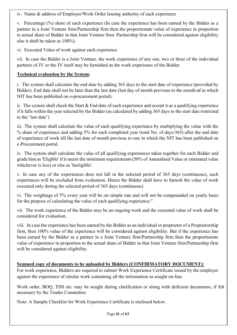iv. Name & address of Employer/Work Order Issuing authority of each experience

v. Percentage (%) share of each experience (In case the experience has been earned by the Bidder as a partner in a Joint Venture firm/Partnership firm then the proportionate value of experience in proportion to actual share of Bidder in that Joint Venture firm/ Partnership firm will be considered against eligibility else it shall be taken as 100%).

vi. Executed Value of work against each experience

vii. In case the Bidder is a Joint Venture, the work experience of any one, two or three of the individual partners of JV or the JV itself may be furnished as the work experience of the Bidder.

#### Technical evaluation by the System:

i. The system shall calculate the end date by adding 365 days to the start date of experience (provided by Bidder). End date shall not be later than the last date (last day of month previous to the month of in which NIT has been published on e-procurement portal).

ii. The system shall check the Start & End date of each experience and accept it as a qualifying experience if it falls within the year selected by the Bidder (as calculated by adding 365 days to the start date restricted to the 'last date')

iii. The system shall calculate the value of each qualifying experience by multiplying the value with the % share of experience and adding 5% for each completed year (total No. of days/365) after the end date of experience of work till the last date of month previous to one in which the NIT has been published on e-Procurement portal.

iv. The system shall calculate the value of all qualifying experiences taken together for each Bidder and grade him as 'Eligible' if it meets the minimum requirements (50% of Annualised Value or estimated value whichever is less) or else as 'Ineligible'.

v. In case any of the experiences does not fall in the selected period of 365 days (continuous), such experiences will be excluded from evaluation. Hence the Bidder shall have to furnish the value of work executed only during the selected period of 365 days (continuous).

vi. The weightage of 5% every year will be on simple rate and will not be compounded on yearly basis for the purpose of calculating the value of each qualifying experience."

vii. The work experience of the Bidder may be an ongoing work and the executed value of work shall be considered for evaluation.

viii. In case the experience has been earned by the Bidder as an individual or proprietor of a Proprietorship firm, then 100% value of the experience will be considered against eligibility. But if the experience has been earned by the Bidder as a partner in a Joint Venture firm/Partnership firm then the proportionate value of experience in proportion to the actual share of Bidder in that Joint Venture firm/Partnership firm will be considered against eligibility.

#### Scanned copy of documents to be uploaded by Bidders (CONFIRMATORY DOCUMENT):

For work experience, Bidders are required to submit Work Experience Certificate issued by the employer against the experience of similar work containing all the information as sought on-line.

Work order, BOQ, TDS etc. may be sought during clarification or along with deficient documents, if felt necessary by the Tender Committee.

Note: A Sample Checklist for Work Experience Certificate is enclosed below.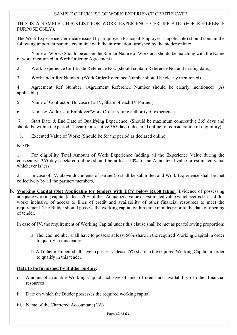#### SAMPLE CHECKLIST OF WORK EXPERIENCE CERITIFICATE

THIS IS A SAMPLE CHECKLIST FOR WORK EXPERIENCE CERTIFICATE. (FOR REFERENCE PURPOSE ONLY).

The Work Experience Certificate issued by Employer (Principal Employer as applicable) should contain the following important parameters in line with the information furnished by the bidder online:

1. Name of Work: (Should be as per the Similar Nature of Work and should be matching with the Name of work mentioned in Work Order or Agreement).

2. Work Experience Certificate Reference No.: (should contain Reference No. and issuing date.)

3. Work Order Ref Number: (Work Order Reference Number should be clearly mentioned).

4. Agreement Ref Number: (Agreement Reference Number should be clearly mentioned) (As applicable).

5. Name of Contractor: (In case of a JV, Share of each JV Partner).

6. Name & Address of Employer/Work Order Issuing authority of experience.

 7. Start Date & End Date of Qualifying Experience: (Should be maximum consecutive 365 days and should be within the period [1 year (consecutive 365 days)] declared online for consideration of eligibility).

8. Executed Value of Work: (Should be for the period as declared online

NOTE:

1. For eligibility Total Amount of Work Experience (adding all the Experience Value during the consecutive 365 days declared online) should be at least 50% of the Annualized value or estimated value whichever is less.

2. In case of JV, above documents of partner(s) shall be submitted and Work Experience shall be met collectively by all the partner/ members.

**b.** Working Capital (Not Applicable for tenders with ECV below Rs.50 lakhs): Evidence of possessing adequate working capital (at least 20% of the "Annualized value or Estimated value whichever is less" of this work) inclusive of access to lines of credit and availability of other financial resources to meet the requirement. The Bidder should possess the working capital within three months prior to the date of opening of tender.

In case of JV, the requirement of Working Capital under this clause shall be met as per following proportion:

- a. The lead member shall have to possess at least 50% share in the required Working Capital in order to qualify in this tender.
- b. All other members shall have to possess at least 25% share in the required Working Capital, in order to qualify in this tender.

#### Data to be furnished by Bidder on-line:

- i. Amount of available Working Capital inclusive of lines of credit and availability of other financial resources
- ii. Date on which the Bidder possesses the required working capital
- iii. Name of the Chartered Accountant (CA)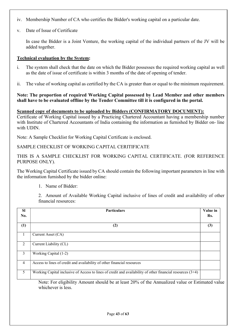- iv. Membership Number of CA who certifies the Bidder's working capital on a particular date.
- v. Date of Issue of Certificate

In case the Bidder is a Joint Venture, the working capital of the individual partners of the JV will be added together.

#### Technical evaluation by the System:

- i. The system shall check that the date on which the Bidder possesses the required working capital as well as the date of issue of certificate is within 3 months of the date of opening of tender.
- ii. The value of working capital as certified by the CA is greater than or equal to the minimum requirement.

#### Note: The proportion of required Working Capital possessed by Lead Member and other members shall have to be evaluated offline by the Tender Committee till it is configured in the portal.

#### Scanned copy of documents to be uploaded by Bidders (CONFIRMATORY DOCUMENT):

Certificate of Working Capital issued by a Practicing Chartered Accountant having a membership number with Institute of Chartered Accountants of India containing the information as furnished by Bidder on- line with UDIN.

Note: A Sample Checklist for Working Capital Certificate is enclosed.

SAMPLE CHECKLIST OF WORKING CAPITAL CERITIFICATE

THIS IS A SAMPLE CHECKLIST FOR WORKING CAPITAL CERTIFICATE. (FOR REFERENCE PURPOSE ONLY).

The Working Capital Certificate issued by CA should contain the following important parameters in line with the information furnished by the bidder online:

1. Name of Bidder:

2. Amount of Available Working Capital inclusive of lines of credit and availability of other financial resources:

| <b>SI</b><br>No. | <b>Particulars</b>                                                                                                   | Value in<br>Rs. |
|------------------|----------------------------------------------------------------------------------------------------------------------|-----------------|
| (1)              | (2)                                                                                                                  | (3)             |
| $\mathbf{1}$     | Current Asset (CA)                                                                                                   |                 |
| 2                | Current Liability (CL)                                                                                               |                 |
| 3                | Working Capital (1-2)                                                                                                |                 |
| $\overline{4}$   | Access to lines of credit and availability of other financial resources                                              |                 |
| 5                | Working Capital inclusive of Access to lines of credit and availability of other financial resources $(3+4)$         |                 |
|                  | Note: For eligibility Amount should be at least 20% of the Annualized value or Estimated value<br>whichever is less. |                 |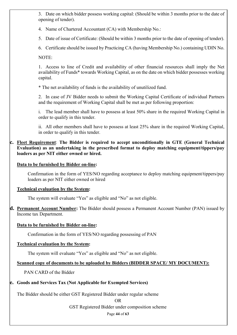3. Date on which bidder possess working capital: (Should be within 3 months prior to the date of opening of tender).

4. Name of Chartered Accountant (CA) with Membership No.:

5. Date of issue of Certificate: (Should be within 3 months prior to the date of opening of tender).

6. Certificate should be issued by Practicing CA (having Membership No.) containing UDIN No.

NOTE:

1. Access to line of Credit and availability of other financial resources shall imply the Net availability of Funds\* towards Working Capital, as on the date on which bidder possesses working capital.

\* The net availability of funds is the availability of unutilized fund.

2. In case of JV Bidder needs to submit the Working Capital Certificate of individual Partners and the requirement of Working Capital shall be met as per following proportion:

i. The lead member shall have to possess at least 50% share in the required Working Capital in order to qualify in this tender.

ii. All other members shall have to possess at least 25% share in the required Working Capital, in order to qualify in this tender.

c. Fleet Requirement: The Bidder is required to accept unconditionally in GTE (General Technical Evaluation) as an undertaking in the prescribed format to deploy matching equipment/tippers/pay loaders as per NIT either owned or hired.

#### Data to be furnished by Bidder on-line:

Confirmation in the form of YES/NO regarding acceptance to deploy matching equipment/tippers/pay loaders as per NIT either owned or hired

#### Technical evaluation by the System:

The system will evaluate "Yes" as eligible and "No" as not eligible.

d. Permanent Account Number: The Bidder should possess a Permanent Account Number (PAN) issued by Income tax Department.

#### Data to be furnished by Bidder on-line:

Confirmation in the form of YES/NO regarding possessing of PAN

#### Technical evaluation by the System:

The system will evaluate "Yes" as eligible and "No" as not eligible.

#### Scanned copy of documents to be uploaded by Bidders (BIDDER SPACE/ MY DOCUMENT):

PAN CARD of the Bidder

# e. Goods and Services Tax (Not Applicable for Exempted Services)

The Bidder should be either GST Registered Bidder under regular scheme

OR

GST Registered Bidder under composition scheme

Page 44 of 63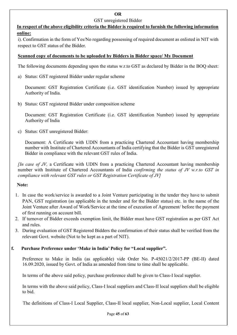#### OR

#### GST unregistered Bidder

In respect of the above eligibility criteria the Bidder is required to furnish the following information online:

i). Confirmation in the form of Yes/No regarding possessing of required document as enlisted in NIT with respect to GST status of the Bidder.

#### Scanned copy of documents to be uploaded by Bidders in Bidder space/ My Document

The following documents depending upon the status w.r.to GST as declared by Bidder in the BOQ sheet:

a) Status: GST registered Bidder under regular scheme

Document: GST Registration Certificate (i.e. GST identification Number) issued by appropriate Authority of India.

b) Status: GST registered Bidder under composition scheme

Document: GST Registration Certificate (i.e. GST identification Number) issued by appropriate Authority of India

c) Status: GST unregistered Bidder:

Document: A Certificate with UDIN from a practicing Chartered Accountant having membership number with Institute of Chartered Accountants of India certifying that the Bidder is GST unregistered Bidder in compliance with the relevant GST rules of India.

*(In case of JV, a Certificate with UDIN from a practicing Chartered Accountant having membership* number with Institute of Chartered Accountants of India confirming the status of JV w.r.to GST in compliance with relevant GST rules or GST Registration Certificate of JV]

#### Note:

- 1. In case the work/service is awarded to a Joint Venture participating in the tender they have to submit PAN, GST registration (as applicable in the tender and for the Bidder status) etc. in the name of the Joint Venture after Award of Work/Service at the time of execution of Agreement/ before the payment of first running on account bill.
- 2. If turnover of Bidder exceeds exemption limit, the Bidder must have GST registration as per GST Act and rules.
- 3. During evaluation of GST Registered Bidders the confirmation of their status shall be verified from the relevant Govt. website (Not to be kept as a part of NIT).

#### f. Purchase Preference under 'Make in India' Policy for "Local supplier".

Preference to Make in India (as applicable) vide Order No. P-45021/2/2017-PP (BE-II) dated 16.09.2020, issued by Govt. of India as amended from time to time shall be applicable.

In terms of the above said policy, purchase preference shall be given to Class-I local supplier.

In terms with the above said policy, Class-I local suppliers and Class-II local suppliers shall be eligible to bid.

The definitions of Class-I Local Supplier, Class-II local supplier, Non-Local supplier, Local Content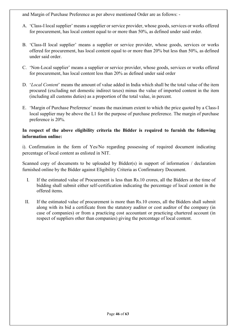and Margin of Purchase Preference as per above mentioned Order are as follows: -

- A. 'Class-I local supplier' means a supplier or service provider, whose goods, services or works offered for procurement, has local content equal to or more than 50%, as defined under said order.
- B. 'Class-II local supplier' means a supplier or service provider, whose goods, services or works offered for procurement, has local content equal to or more than 20% but less than 50%, as defined under said order.
- C. 'Non-Local supplier' means a supplier or service provider, whose goods, services or works offered for procurement, has local content less than 20% as defined under said order
- D. 'Local Content' means the amount of value added in India which shall be the total value of the item procured (excluding net domestic indirect taxes) minus the value of imported content in the item (including all customs duties) as a proportion of the total value, in percent.
- E. 'Margin of Purchase Preference' means the maximum extent to which the price quoted by a Class-I local supplier may be above the L1 for the purpose of purchase preference. The margin of purchase preference is 20%.

#### In respect of the above eligibility criteria the Bidder is required to furnish the following information online:

i). Confirmation in the form of Yes/No regarding possessing of required document indicating percentage of local content as enlisted in NIT.

Scanned copy of documents to be uploaded by Bidder(s) in support of information / declaration furnished online by the Bidder against Eligibility Criteria as Confirmatory Document.

- I. If the estimated value of Procurement is less than Rs.10 crores, all the Bidders at the time of bidding shall submit either self-certification indicating the percentage of local content in the offered items.
- II. If the estimated value of procurement is more than Rs.10 crores, all the Bidders shall submit along with its bid a certificate from the statutory auditor or cost auditor of the company (in case of companies) or from a practicing cost accountant or practicing chartered account (in respect of suppliers other than companies) giving the percentage of local content.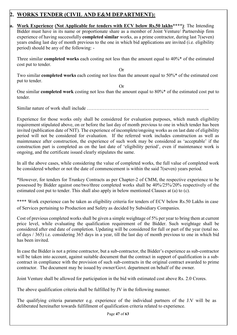# 2. WORKS TENDER (CIVIL AND E&M DEPARTMENT):

a. Work Experience (Not Applicable for tenders with ECV below Rs.50 lakhs<sup>\*\*\*\*</sup>): The Intending Bidder must have in its name or proportionate share as a member of Joint Venture/ Partnership firm experience of having successfully completed similar works, as a prime contractor, during last 7(seven) years ending last day of month previous to the one in which bid applications are invited (i.e. eligibility period) should be any of the following: -

Three similar completed works each costing not less than the amount equal to 40%\* of the estimated cost put to tender.

Two similar completed works each costing not less than the amount equal to 50%\* of the estimated cost put to tender.

Or

Or

One similar completed work costing not less than the amount equal to 80%\* of the estimated cost put to tender.

Similar nature of work shall include  $\ldots$ .

Experience for those works only shall be considered for evaluation purposes, which match eligibility requirement stipulated above, on or before the last day of month previous to one in which tender has been invited (publication date of NIT). The experience of incomplete/ongoing works as on last date of eligibility period will not be considered for evaluation. If the referred work includes construction as well as maintenance after construction, the experience of such work may be considered as 'acceptable' if the construction part is completed as on the last date of 'eligibility period', even if maintenance work is ongoing, and the certificate issued clearly stipulates the same.

In all the above cases, while considering the value of completed works, the full value of completed work be considered whether or not the date of commencement is within the said 7(seven) years period.

\*However, for tenders for Trunkey Contracts as per Chapter-2 of CMM, the respective experience to be possessed by Bidder against one/two/three completed works shall be 40%/25%/20% respectively of the estimated cost put to tender. This shall also apply in below mentioned Clauses at (a) to (c).

\*\*\*\* Work experience can be taken as eligibility criteria for tenders of ECV below Rs.50 Lakhs in case of Services pertaining to Production and Safety as decided by Subsidiary Companies.

Cost of previous completed works shall be given a simple weightage of 5% per year to bring them at current price level, while evaluating the qualification requirement of the Bidder. Such weightage shall be considered after end date of completion. Updating will be considered for full or part of the year (total no. of days / 365) i.e. considering 365 days in a year, till the last day of month previous to one in which bid has been invited.

In case the Bidder is not a prime contractor, but a sub-contractor, the Bidder's experience as sub-contractor will be taken into account, against suitable document that the contract in support of qualification is a subcontract in compliance with the provision of such sub-contracts in the original contract awarded to prime contractor. The document may be issued by owner/Govt. department on behalf of the owner.

Joint Venture shall be allowed for participation in the bid with estimated cost above Rs. 2.0 Crores.

The above qualification criteria shall be fulfilled by JV in the following manner.

The qualifying criteria parameter e.g. experience of the individual partners of the J.V will be as deliberated hereinafter towards fulfillment of qualification criteria related to experience.

Page 47 of 63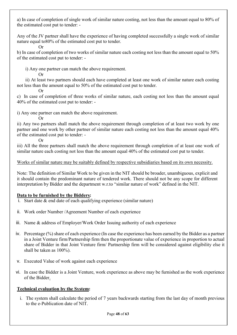a) In case of completion of single work of similar nature costing, not less than the amount equal to 80% of the estimated cost put to tender: -

Any of the JV partner shall have the experience of having completed successfully a single work of similar nature equal to80% of the estimated cost put to tender.

b) In case of completion of two works of similar nature each costing not less than the amount equal to 50% of the estimated cost put to tender: -

i) Any one partner can match the above requirement.

Or

 $\Omega$ r

 ii) At least two partners should each have completed at least one work of similar nature each costing not less than the amount equal to 50% of the estimated cost put to tender.

Or

Or

Or

c) In case of completion of three works of similar nature, each costing not less than the amount equal 40% of the estimated cost put to tender: -

i) Any one partner can match the above requirement.

ii) Any two partners shall match the above requirement through completion of at least two work by one partner and one work by other partner of similar nature each costing not less than the amount equal 40% of the estimated cost put to tender: -

iii) All the three partners shall match the above requirement through completion of at least one work of similar nature each costing not less than the amount equal 40% of the estimated cost put to tender.

#### Works of similar nature may be suitably defined by respective subsidiaries based on its own necessity.

Note: The definition of Similar Work to be given in the NIT should be broader, unambiguous, explicit and it should contain the predominant nature of tendered work. There should not be any scope for different interpretation by Bidder and the department w.r.to "similar nature of work" defined in the NIT.

#### Data to be furnished by the Bidders:

- Start date  $\&$  end date of each qualifying experience (similar nature)
- ii. Work order Number /Agreement Number of each experience
- iii. Name & address of Employer/Work Order Issuing authority of each experience
- iv. Percentage (%) share of each experience (In case the experience has been earned by the Bidder as a partner in a Joint Venture firm/Partnership firm then the proportionate value of experience in proportion to actual share of Bidder in that Joint Venture firm/ Partnership firm will be considered against eligibility else it shall be taken as 100%).
- v. Executed Value of work against each experience
- vi. In case the Bidder is a Joint Venture, work experience as above may be furnished as the work experience of the Bidder.

#### Technical evaluation by the System:

i. The system shall calculate the period of 7 years backwards starting from the last day of month previous to the e-Publication date of NIT.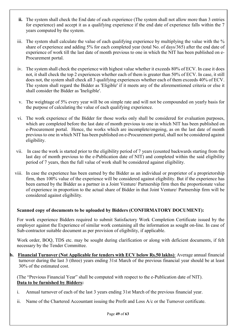- ii. The system shall check the End date of each experience (The system shall not allow more than 3 entries for experience) and accept it as a qualifying experience if the end date of experience falls within the 7 years computed by the system.
- iii. The system shall calculate the value of each qualifying experience by multiplying the value with the % share of experience and adding 5% for each completed year (total No. of days/365) after the end date of experience of work till the last date of month previous to one in which the NIT has been published on e-Procurement portal.
- iv. The system shall check the experience with highest value whether it exceeds 80% of ECV. In case it does not, it shall check the top 2 experiences whether each of them is greater than 50% of ECV. In case, it still does not, the system shall check all 3 qualifying experiences whether each of them exceeds 40% of ECV. The system shall regard the Bidder as 'Eligible' if it meets any of the aforementioned criteria or else it shall consider the Bidder as 'Ineligible'.
- v. The weightage of 5% every year will be on simple rate and will not be compounded on yearly basis for the purpose of calculating the value of each qualifying experience.
- vi. The work experience of the Bidder for those works only shall be considered for evaluation purposes, which are completed before the last date of month previous to one in which NIT has been published on e-Procurement portal. Hence, the works which are incomplete/ongoing, as on the last date of month previous to one in which NIT has been published on e-Procurement portal, shall not be considered against eligibility.
- vii. In case the work is started prior to the eligibility period of 7 years (counted backwards starting from the last day of month previous to the e-Publication date of NIT) and completed within the said eligibility period of 7 years, then the full value of work shall be considered against eligibility.
- viii. In case the experience has been earned by the Bidder as an individual or proprietor of a proprietorship firm, then 100% value of the experience will be considered against eligibility. But if the experience has been earned by the Bidder as a partner in a Joint Venture/ Partnership firm then the proportionate value of experience in proportion to the actual share of Bidder in that Joint Venture/ Partnership firm will be considered against eligibility.

#### Scanned copy of documents to be uploaded by Bidders (CONFIRMATORY DOCUMENT):

For work experience Bidders required to submit Satisfactory Work Completion Certificate issued by the employer against the Experience of similar work containing all the information as sought on-line. In case of Sub-contractor suitable document as per provision of eligibility, if applicable.

Work order, BOQ, TDS etc. may be sought during clarification or along with deficient documents, if felt necessary by the Tender Committee.

b. Financial Turnover (Not Applicable for tenders with ECV below Rs.50 lakhs): Average annual financial turnover during the last 3 (three) years ending 31st March of the previous financial year should be at least 30% of the estimated cost.

(The "Previous Financial Year" shall be computed with respect to the e-Publication date of NIT). Data to be furnished by Bidders:

- i. Annual turnover of each of the last 3 years ending 31st March of the previous financial year.
- ii. Name of the Chartered Accountant issuing the Profit and Loss A/c or the Turnover certificate.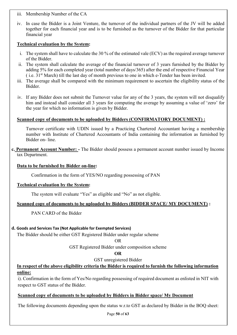- iii. Membership Number of the CA
- iv. In case the Bidder is a Joint Venture, the turnover of the individual partners of the JV will be added together for each financial year and is to be furnished as the turnover of the Bidder for that particular financial year

#### Technical evaluation by the System:

- i. The system shall have to calculate the 30 % of the estimated vale (ECV) as the required average turnover of the Bidder.
- ii. The system shall calculate the average of the financial turnover of 3 years furnished by the Bidder by adding 5% for each completed year (total number of days/365) after the end of respective Financial Year  $(i.e. 31<sup>st</sup> March)$  till the last day of month previous to one in which e-Tender has been invited.
- iii. The average shall be compared with the minimum requirement to ascertain the eligibility status of the Bidder.
- iv. If any Bidder does not submit the Turnover value for any of the 3 years, the system will not disqualify him and instead shall consider all 3 years for computing the average by assuming a value of 'zero' for the year for which no information is given by Bidder.

#### Scanned copy of documents to be uploaded by Bidders (CONFIRMATORY DOCUMENT) :

Turnover certificate with UDIN issued by a Practicing Chartered Accountant having a membership number with Institute of Chartered Accountants of India containing the information as furnished by Bidder on- line.

c. Permanent Account Number: - The Bidder should possess a permanent account number issued by Income tax Department.

#### Data to be furnished by Bidder on-line:

Confirmation in the form of YES/NO regarding possessing of PAN

#### Technical evaluation by the System:

The system will evaluate "Yes" as eligible and "No" as not eligible.

#### Scanned copy of documents to be uploaded by Bidders (BIDDER SPACE/ MY DOCUMENT) :

PAN CARD of the Bidder

#### d. Goods and Services Tax (Not Applicable for Exempted Services)

The Bidder should be either GST Registered Bidder under regular scheme

OR

GST Registered Bidder under composition scheme

#### OR

GST unregistered Bidder

#### In respect of the above eligibility criteria the Bidder is required to furnish the following information online:

i). Confirmation in the form of Yes/No regarding possessing of required document as enlisted in NIT with respect to GST status of the Bidder.

#### Scanned copy of documents to be uploaded by Bidders in Bidder space/ My Document

The following documents depending upon the status w.r.to GST as declared by Bidder in the BOQ sheet: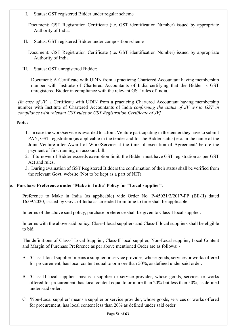I. Status: GST registered Bidder under regular scheme

Document: GST Registration Certificate (i.e. GST identification Number) issued by appropriate Authority of India.

II. Status: GST registered Bidder under composition scheme

Document: GST Registration Certificate (i.e. GST identification Number) issued by appropriate Authority of India

III. Status: GST unregistered Bidder:

Document: A Certificate with UDIN from a practicing Chartered Accountant having membership number with Institute of Chartered Accountants of India certifying that the Bidder is GST unregistered Bidder in compliance with the relevant GST rules of India.

*[In case of JV, a Certificate with UDIN from a practicing Chartered Accountant having membership* number with Institute of Chartered Accountants of India confirming the status of JV w.r.to GST in compliance with relevant GST rules or GST Registration Certificate of JV]

#### Note:

- 1. In case the work/service is awarded to a Joint Venture participating in the tender they have to submit PAN, GST registration (as applicable in the tender and for the Bidder status) etc. in the name of the Joint Venture after Award of Work/Service at the time of execution of Agreement/ before the payment of first running on account bill.
- 2. If turnover of Bidder exceeds exemption limit, the Bidder must have GST registration as per GST Act and rules.
- 3. During evaluation of GST Registered Bidders the confirmation of their status shall be verified from the relevant Govt. website (Not to be kept as a part of NIT).

#### e. Purchase Preference under 'Make in India' Policy for "Local supplier".

Preference to Make in India (as applicable) vide Order No. P-45021/2/2017-PP (BE-II) dated 16.09.2020, issued by Govt. of India as amended from time to time shall be applicable.

In terms of the above said policy, purchase preference shall be given to Class-I local supplier.

In terms with the above said policy, Class-I local suppliers and Class-II local suppliers shall be eligible to bid.

 The definitions of Class-I Local Supplier, Class-II local supplier, Non-Local supplier, Local Content and Margin of Purchase Preference as per above mentioned Order are as follows: -

- A. 'Class-I local supplier' means a supplier or service provider, whose goods, services or works offered for procurement, has local content equal to or more than 50%, as defined under said order.
- B. 'Class-II local supplier' means a supplier or service provider, whose goods, services or works offered for procurement, has local content equal to or more than 20% but less than 50%, as defined under said order.
- C. 'Non-Local supplier' means a supplier or service provider, whose goods, services or works offered for procurement, has local content less than 20% as defined under said order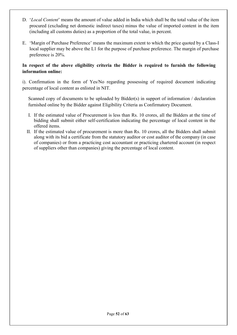- D. 'Local Content' means the amount of value added in India which shall be the total value of the item procured (excluding net domestic indirect taxes) minus the value of imported content in the item (including all customs duties) as a proportion of the total value, in percent.
- E. 'Margin of Purchase Preference' means the maximum extent to which the price quoted by a Class-I local supplier may be above the L1 for the purpose of purchase preference. The margin of purchase preference is 20%.

#### In respect of the above eligibility criteria the Bidder is required to furnish the following information online:

i). Confirmation in the form of Yes/No regarding possessing of required document indicating percentage of local content as enlisted in NIT.

Scanned copy of documents to be uploaded by Bidder(s) in support of information / declaration furnished online by the Bidder against Eligibility Criteria as Confirmatory Document.

- I. If the estimated value of Procurement is less than Rs. 10 crores, all the Bidders at the time of bidding shall submit either self-certification indicating the percentage of local content in the offered items.
- II. If the estimated value of procurement is more than Rs. 10 crores, all the Bidders shall submit along with its bid a certificate from the statutory auditor or cost auditor of the company (in case of companies) or from a practicing cost accountant or practicing chartered account (in respect of suppliers other than companies) giving the percentage of local content.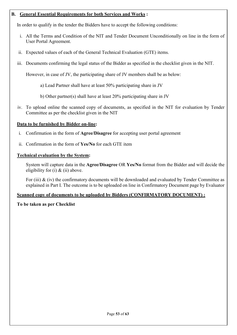#### B. General Essential Requirements for both Services and Works :

In order to qualify in the tender the Bidders have to accept the following conditions:

- i. All the Terms and Condition of the NIT and Tender Document Unconditionally on line in the form of User Portal Agreement.
- ii. Expected values of each of the General Technical Evaluation (GTE) items.
- iii. Documents confirming the legal status of the Bidder as specified in the checklist given in the NIT.

However, in case of JV, the participating share of JV members shall be as below:

- a) Lead Partner shall have at least 50% participating share in JV
- b) Other partner(s) shall have at least 20% participating share in JV
- iv. To upload online the scanned copy of documents, as specified in the NIT for evaluation by Tender Committee as per the checklist given in the NIT

# Data to be furnished by Bidder on-line:

- i. Confirmation in the form of Agree/Disagree for accepting user portal agreement
- ii. Confirmation in the form of Yes/No for each GTE item

# Technical evaluation by the System:

System will capture data in the Agree/Disagree OR Yes/No format from the Bidder and will decide the eligibility for (i)  $&$  (ii) above.

For (iii)  $\&$  (iv) the confirmatory documents will be downloaded and evaluated by Tender Committee as explained in Part I. The outcome is to be uploaded on line in Confirmatory Document page by Evaluator

# Scanned copy of documents to be uploaded by Bidders (CONFIRMATORY DOCUMENT) :

# To be taken as per Checklist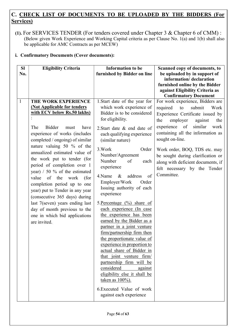# C. CHECK LIST OF DOCUMENTS TO BE UPLOADED BY THE BIDDERS (For Services)

(1). For SERVICES TENDER (For tenders covered under Chapter 3 & Chapter 6 of CMM) : (Below given Work Experience and Working Capital criteria as per Clause No. 1(a) and 1(b) shall also be applicable for AMC Contracts as per MCEW)

#### i. Confirmatory Documents (Cover documents):

| <b>SI</b><br>No. | <b>Eligibility Criteria</b>                                                                                                                                                                                                                                                                                                                                                                                                                                                                                                                                                                                               | <b>Information to be</b><br>furnished by Bidder on line                                                                                                                                                                                                                                                                                                                                                                                                                                                                                                                                                                                                                                                                                                                                                                                                   | Scanned copy of documents, to<br>be uploaded by in support of<br>information/declaration<br>furnished online by the Bidder<br>against Eligibility Criteria as<br><b>Confirmatory Document</b>                                                                                                                                                                                                       |
|------------------|---------------------------------------------------------------------------------------------------------------------------------------------------------------------------------------------------------------------------------------------------------------------------------------------------------------------------------------------------------------------------------------------------------------------------------------------------------------------------------------------------------------------------------------------------------------------------------------------------------------------------|-----------------------------------------------------------------------------------------------------------------------------------------------------------------------------------------------------------------------------------------------------------------------------------------------------------------------------------------------------------------------------------------------------------------------------------------------------------------------------------------------------------------------------------------------------------------------------------------------------------------------------------------------------------------------------------------------------------------------------------------------------------------------------------------------------------------------------------------------------------|-----------------------------------------------------------------------------------------------------------------------------------------------------------------------------------------------------------------------------------------------------------------------------------------------------------------------------------------------------------------------------------------------------|
| $\mathbf{1}$     | THE WORK EXPERIENCE<br>(Not Applicable for tenders<br>with ECV below Rs.50 lakhs)<br><b>Bidder</b><br>The<br>have<br>must<br>experience of works (includes<br>completed / ongoing) of similar<br>nature valuing 50 % of the<br>annualized estimated value of<br>the work put to tender (for<br>period of completion over 1<br>year) $/50$ % of the estimated<br>the<br>of<br>work<br>value<br>(for<br>completion period up to one<br>year) put to Tender in any year<br>(consecutive 365 days) during<br>last 7(seven) years ending last<br>day of month previous to the<br>one in which bid applications<br>are invited. | 1. Start date of the year for<br>which work experience of<br>Bidder is to be considered<br>for eligibility.<br>2. Start date & end date of<br>each qualifying experience<br>(similar nature)<br>3. Work<br>Order<br>Number/Agreement<br>Number<br>of<br>each<br>experience<br>of<br>4.Name<br>$\&$<br>address<br>Employer/Work<br>Order<br>Issuing authority of each<br>experience<br>5. Percentage $(\%)$ share of<br>each experience (In case<br>the experience has been<br>earned by the Bidder as a<br>partner in a joint venture<br>firm/partnership firm then<br>the proportionate value of<br>experience in proportion to<br>actual share of Bidder in<br>that joint venture firm/<br>partnership firm will be<br>considered<br>against<br>eligibility else it shall be<br>taken as 100%).<br>6. Executed Value of work<br>against each experience | For work experience, Bidders are<br>required<br>submit<br>to<br>Work<br>Experience Certificate issued by<br>the<br>employer<br>against<br>the<br>similar<br>experience of<br>work<br>containing all the information as<br>sought on-line.<br>Work order, BOQ, TDS etc. may<br>be sought during clarification or<br>along with deficient documents, if<br>felt necessary by the Tender<br>Committee. |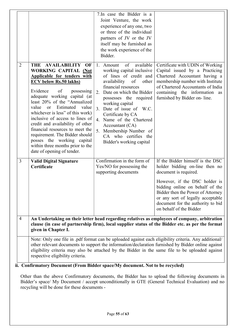|                |                                                                                                                                                                                                                                                                                                                                                                                                                                                                                                                                                     | 7. In case the Bidder is a<br>Joint Venture, the work<br>experience of any one, two<br>or three of the individual<br>partners of JV or the JV<br>itself may be furnished as<br>the work experience of the<br>Bidder.                                                                                                                                                                                    |                                                                                                                                                                                                                                                                                                           |
|----------------|-----------------------------------------------------------------------------------------------------------------------------------------------------------------------------------------------------------------------------------------------------------------------------------------------------------------------------------------------------------------------------------------------------------------------------------------------------------------------------------------------------------------------------------------------------|---------------------------------------------------------------------------------------------------------------------------------------------------------------------------------------------------------------------------------------------------------------------------------------------------------------------------------------------------------------------------------------------------------|-----------------------------------------------------------------------------------------------------------------------------------------------------------------------------------------------------------------------------------------------------------------------------------------------------------|
| $\overline{2}$ | THE AVAILABILITY<br>OF<br><b>WORKING CAPITAL (Not</b><br>Applicable for tenders with<br><b>ECV below Rs.50 lakhs</b> )<br>Evidence<br>of<br>possessing<br>adequate working capital (at<br>least 20% of the "Annualized<br>Estimated value<br>value<br><sub>or</sub><br>whichever is less" of this work)<br>inclusive of access to lines of<br>credit and availability of other<br>financial resources to meet the<br>requirement. The Bidder should<br>posses the working capital<br>within three months prior to the<br>date of opening of tender. | available<br>of<br>1. Amount<br>working capital inclusive<br>of lines of credit and<br>availability<br>of<br>other<br>financial resources<br>2. Date on which the Bidder<br>possesses the required<br>working capital<br>Date of issue of W.C.<br>3.<br>Certificate by CA<br>4. Name of the Chartered<br>Accountant (CA)<br>5. Membership Number of<br>CA who certifies the<br>Bidder's working capital | Certificate with UDIN of Working<br>Capital issued by a Practicing<br>Chartered Accountant having a<br>membership number with Institute<br>of Chartered Accountants of India<br>containing the information as<br>furnished by Bidder on-line.                                                             |
| $\mathfrak{Z}$ | <b>Valid Digital Signature</b><br>Certificate                                                                                                                                                                                                                                                                                                                                                                                                                                                                                                       | Confirmation in the form of<br>Yes/NO for possessing the<br>supporting documents                                                                                                                                                                                                                                                                                                                        | If the Bidder himself is the DSC<br>holder bidding on-line then no<br>document is required.<br>However, if the DSC holder is<br>bidding online on behalf of the<br>Bidder then the Power of Attorney<br>or any sort of legally acceptable<br>document for the authority to bid<br>on behalf of the Bidder |
| $\overline{4}$ | An Undertaking on their letter head regarding relatives as employees of company, arbitration<br>clause (in case of partnership firm), local supplier status of the Bidder etc. as per the format<br>given in Chapter I.                                                                                                                                                                                                                                                                                                                             |                                                                                                                                                                                                                                                                                                                                                                                                         |                                                                                                                                                                                                                                                                                                           |
|                | Note: Only one file in .pdf format can be uploaded against each eligibility criteria. Any additional/<br>other relevant documents to support the information/declaration furnished by Bidder online against<br>eligibility criteria may also be attached by the Bidder in the same file to be uploaded against<br>respective eligibility criteria.                                                                                                                                                                                                  |                                                                                                                                                                                                                                                                                                                                                                                                         |                                                                                                                                                                                                                                                                                                           |

ii. Confirmatory Document (From Bidder space/My document. Not to be recycled)

Other than the above Confirmatory documents, the Bidder has to upload the following documents in Bidder's space/ My Document / accept unconditionally in GTE (General Technical Evaluation) and no recycling will be done for these documents -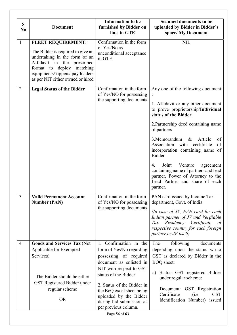| S<br>N <sub>0</sub> | <b>Document</b>                                                                                                                                                                                                                         | <b>Information to be</b><br>furnished by Bidder on<br>line in GTE                                                                             | <b>Scanned documents to be</b><br>uploaded by Bidder in Bidder's<br>space/ My Document                                                                                                                                                                                                                                                                                                                                                                                                              |
|---------------------|-----------------------------------------------------------------------------------------------------------------------------------------------------------------------------------------------------------------------------------------|-----------------------------------------------------------------------------------------------------------------------------------------------|-----------------------------------------------------------------------------------------------------------------------------------------------------------------------------------------------------------------------------------------------------------------------------------------------------------------------------------------------------------------------------------------------------------------------------------------------------------------------------------------------------|
| $\mathbf{1}$        | <b>FLEET REQUIREMENT:</b><br>The Bidder is required to give an<br>undertaking in the form of an<br>Affidavit in the prescribed<br>deploy<br>matching<br>format to<br>equipments/tippers/pay loaders<br>as per NIT either owned or hired | Confirmation in the form<br>of Yes/No as<br>unconditional acceptance<br>in GTE                                                                | <b>NIL</b>                                                                                                                                                                                                                                                                                                                                                                                                                                                                                          |
| $\overline{2}$      | <b>Legal Status of the Bidder</b>                                                                                                                                                                                                       | Confirmation in the form<br>of Yes/NO for possessing<br>the supporting documents                                                              | Any one of the following document<br>1. Affidavit or any other document<br>to prove proprietorship/Individual<br>status of the Bidder.<br>2. Partnership deed containing name<br>of partners<br>3. Memorandum<br>$\&$<br>Article<br>of<br>Association with certificate<br>of<br>incorporation containing name of<br><b>Bidder</b><br>Joint<br>Venture<br>4.<br>agreement<br>containing name of partners and lead<br>partner, Power of Attorney to the<br>Lead Partner and share of each<br>partner. |
| 3                   | <b>Valid Permanent Account</b><br><b>Number (PAN)</b>                                                                                                                                                                                   | Confirmation in the form<br>of Yes/NO for possessing<br>the supporting documents                                                              | PAN card issued by Income Tax<br>department, Govt. of India<br>(In case of JV, PAN card for each<br>Indian partner of JV and Verifiable<br>Residency Certificate<br>Tax<br>of<br>respective country for each foreign<br>partner or JV itself)                                                                                                                                                                                                                                                       |
| $\overline{4}$      | <b>Goods and Services Tax (Not</b><br>Applicable for Exempted<br>Services)                                                                                                                                                              | Confirmation in the<br>$1_{\sim}$<br>form of Yes/No regarding<br>possessing of required<br>document as enlisted in<br>NIT with respect to GST | The<br>following<br>documents<br>depending upon the status w.r.to<br>GST as declared by Bidder in the<br><b>BOQ</b> sheet:<br>Status: GST registered Bidder                                                                                                                                                                                                                                                                                                                                         |
|                     | The Bidder should be either<br>GST Registered Bidder under                                                                                                                                                                              | status of the Bidder<br>2. Status of the Bidder in                                                                                            | a)<br>under regular scheme:                                                                                                                                                                                                                                                                                                                                                                                                                                                                         |
|                     | regular scheme<br><b>OR</b>                                                                                                                                                                                                             | the BoQ excel sheet being<br>uploaded by the Bidder<br>during bid submission as                                                               | Document: GST Registration<br>Certificate<br><b>GST</b><br>(i.e.<br>identification Number) issued                                                                                                                                                                                                                                                                                                                                                                                                   |
|                     |                                                                                                                                                                                                                                         | per previous column.<br>Page 56 of 63                                                                                                         |                                                                                                                                                                                                                                                                                                                                                                                                                                                                                                     |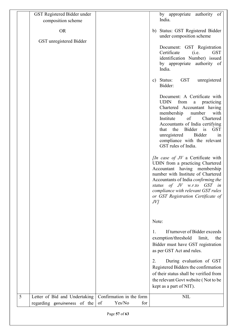|   | GST Registered Bidder under<br>composition scheme             |                                                 |       | by appropriate authority of<br>India.                                                                                                                                                                                                                                                                                          |
|---|---------------------------------------------------------------|-------------------------------------------------|-------|--------------------------------------------------------------------------------------------------------------------------------------------------------------------------------------------------------------------------------------------------------------------------------------------------------------------------------|
|   | <b>OR</b><br>GST unregistered Bidder                          |                                                 |       | b) Status: GST Registered Bidder<br>under composition scheme                                                                                                                                                                                                                                                                   |
|   |                                                               |                                                 |       | Document: GST Registration<br>Certificate<br>(i.e.<br><b>GST</b><br>identification Number) issued<br>by appropriate authority of<br>India.                                                                                                                                                                                     |
|   |                                                               |                                                 |       | c) Status: GST<br>unregistered<br>Bidder:                                                                                                                                                                                                                                                                                      |
|   |                                                               |                                                 |       | Document: A Certificate with<br><b>UDIN</b><br>from a practicing<br>Chartered Accountant having<br>membership number<br>with<br>$\circ$ f<br>Institute<br>Chartered<br>Accountants of India certifying<br>that the Bidder is<br><b>GST</b><br>unregistered Bidder<br>1n<br>compliance with the relevant<br>GST rules of India. |
|   |                                                               |                                                 | JV    | <i>In case of JV</i> a Certificate with<br>UDIN from a practicing Chartered<br>Accountant having membership<br>number with Institute of Chartered<br>Accountants of India confirming the<br>status of JV w.r.to GST in<br>compliance with relevant GST rules<br>or GST Registration Certificate of                             |
|   |                                                               |                                                 | Note: |                                                                                                                                                                                                                                                                                                                                |
|   |                                                               |                                                 | 1.    | If turnover of Bidder exceeds<br>exemption/threshold<br>the<br>limit,<br>Bidder must have GST registration<br>as per GST Act and rules.                                                                                                                                                                                        |
|   |                                                               |                                                 | 2.    | During evaluation of GST<br>Registered Bidders the confirmation<br>of their status shall be verified from<br>the relevant Govt website (Not to be<br>kept as a part of NIT).                                                                                                                                                   |
| 5 | Letter of Bid and Undertaking<br>regarding genuineness of the | Confirmation in the form<br>of<br>Yes/No<br>for |       | <b>NIL</b>                                                                                                                                                                                                                                                                                                                     |
|   | Page 57 of 63                                                 |                                                 |       |                                                                                                                                                                                                                                                                                                                                |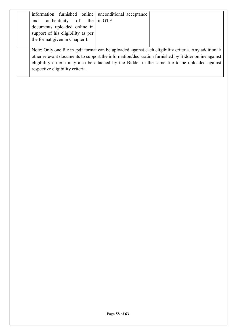| information furnished online   unconditional acceptance                                               |
|-------------------------------------------------------------------------------------------------------|
| authenticity of the $\ln$ GTE<br>and                                                                  |
| documents uploaded online in                                                                          |
| support of his eligibility as per                                                                     |
| the format given in Chapter I.                                                                        |
|                                                                                                       |
| Note: Only one file in .pdf format can be uploaded against each eligibility criteria. Any additional/ |
| other relevant documents to support the information/declaration furnished by Bidder online against    |
| eligibility criteria may also be attached by the Bidder in the same file to be uploaded against       |
| respective eligibility criteria.                                                                      |

 $\overline{\phantom{a}}$ 

 $\overline{\phantom{a}}$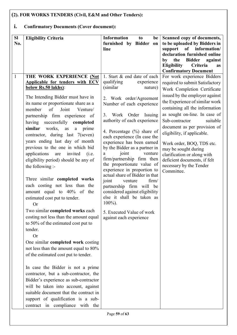# (2). FOR WORKS TENDERS (Civil, E&M and Other Tenders):

# i. Confirmatory Documents (Cover document):

| SI           | <b>Eligibility Criteria</b>                                        | <b>Information</b><br>to<br>be                             | Scanned copy of documents,                                                 |
|--------------|--------------------------------------------------------------------|------------------------------------------------------------|----------------------------------------------------------------------------|
| No.          |                                                                    | furnished by Bidder<br>on                                  | to be uploaded by Bidders in                                               |
|              |                                                                    | line                                                       | support<br>of information/                                                 |
|              |                                                                    |                                                            | declaration furnished online                                               |
|              |                                                                    |                                                            | the<br>Bidder against<br>by<br><b>Eligibility</b><br>Criteria<br><b>as</b> |
|              |                                                                    |                                                            | <b>Confirmatory Document</b>                                               |
| $\mathbf{1}$ | THE WORK EXPERIENCE (Not                                           | 1. Start & end date of each                                | For work experience Bidders                                                |
|              | Applicable for tenders with ECV                                    | qualifying<br>experience                                   | required to submit Satisfactory                                            |
|              | below Rs.50 lakhs):                                                | (similar)<br>nature)                                       | Work Completion Certificate                                                |
|              | The Intending Bidder must have in                                  |                                                            | issued by the employer against                                             |
|              | its name or proportionate share as a                               | 2. Work order/Agreement                                    | the Experience of similar work                                             |
|              | of Joint<br>member<br>Venture/                                     | Number of each experience                                  | containing all the information                                             |
|              | partnership firm experience of                                     | 3. Work Order Issuing                                      | as sought on-line. In case of                                              |
|              |                                                                    | authority of each experience                               | Sub-contractor<br>suitable                                                 |
|              | successfully<br>having<br>completed<br>similar<br>works,           |                                                            | document as per provision of                                               |
|              | prime<br>$\rm as$<br>a                                             | 4. Percentage $(\%)$ share of                              | eligibility, if applicable.                                                |
|              | contractor, during last 7(seven)<br>years ending last day of month | each experience (In case the                               |                                                                            |
|              | previous to the one in which bid                                   | experience has been earned                                 | Work order, BOQ, TDS etc.                                                  |
|              | applications are<br>invited<br>(i.e.                               | by the Bidder as a partner in<br>joint<br>venture<br>a     | may be sought during                                                       |
|              | eligibility period) should be any of                               | firm/partnership firm then                                 | clarification or along with<br>deficient documents, if felt                |
|              | the following :-                                                   | the proportionate value of                                 | necessary by the Tender                                                    |
|              |                                                                    | experience in proportion to                                | Committee.                                                                 |
|              |                                                                    | actual share of Bidder in that                             |                                                                            |
|              | Three similar completed works<br>each costing not less than the    | joint<br>firm/<br>venture                                  |                                                                            |
|              |                                                                    | partnership firm will be<br>considered against eligibility |                                                                            |
|              | amount equal to 40% of the                                         | else it shall be taken as                                  |                                                                            |
|              | estimated cost put to tender.<br><b>Or</b>                         | $100\%$ ).                                                 |                                                                            |
|              | Two similar completed works each                                   |                                                            |                                                                            |
|              | costing not less than the amount equal                             | 5. Executed Value of work                                  |                                                                            |
|              | to 50% of the estimated cost put to                                | against each experience                                    |                                                                            |
|              | tender.                                                            |                                                            |                                                                            |
|              | <b>Or</b>                                                          |                                                            |                                                                            |
|              | One similar completed work costing                                 |                                                            |                                                                            |
|              | not less than the amount equal to 80%                              |                                                            |                                                                            |
|              | of the estimated cost put to tender.                               |                                                            |                                                                            |
|              |                                                                    |                                                            |                                                                            |
|              | In case the Bidder is not a prime                                  |                                                            |                                                                            |
|              | contractor, but a sub-contractor, the                              |                                                            |                                                                            |
|              | Bidder's experience as sub-contractor                              |                                                            |                                                                            |
|              | will be taken into account, against                                |                                                            |                                                                            |
|              | suitable document that the contract in                             |                                                            |                                                                            |
|              | support of qualification is a sub-                                 |                                                            |                                                                            |
|              | contract in compliance with the                                    |                                                            |                                                                            |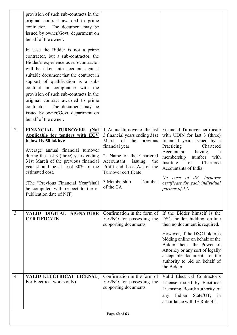|                | provision of such sub-contracts in the<br>original contract awarded to prime                                                                                                                                                                                                                                                                                                                                                                                    |                                                                                                                                                                                                                                |                                                                                                                                                                                                                                             |  |
|----------------|-----------------------------------------------------------------------------------------------------------------------------------------------------------------------------------------------------------------------------------------------------------------------------------------------------------------------------------------------------------------------------------------------------------------------------------------------------------------|--------------------------------------------------------------------------------------------------------------------------------------------------------------------------------------------------------------------------------|---------------------------------------------------------------------------------------------------------------------------------------------------------------------------------------------------------------------------------------------|--|
|                | contractor. The document may be<br>issued by owner/Govt. department on<br>behalf of the owner.                                                                                                                                                                                                                                                                                                                                                                  |                                                                                                                                                                                                                                |                                                                                                                                                                                                                                             |  |
|                | In case the Bidder is not a prime<br>contractor, but a sub-contractor, the<br>Bidder's experience as sub-contractor<br>will be taken into account, against<br>suitable document that the contract in<br>support of qualification is a sub-<br>contract in compliance with the<br>provision of such sub-contracts in the<br>original contract awarded to prime<br>contractor. The document may be<br>issued by owner/Govt. department on<br>behalf of the owner. |                                                                                                                                                                                                                                |                                                                                                                                                                                                                                             |  |
| $\overline{2}$ | FINANCIAL TURNOVER<br>(Not<br>Applicable for tenders with ECV<br>below Rs.50 lakhs):<br>Average annual financial turnover<br>during the last 3 (three) years ending<br>31st March of the previous financial<br>year should be at least 30% of the<br>estimated cost.                                                                                                                                                                                            | 1. Annual turnover of the last<br>3 financial years ending 31st<br>March of the previous<br>financial year.<br>2. Name of the Chartered<br>issuing<br>Accountant<br>the<br>Profit and Loss A/c or the<br>Turnover certificate. | Financial Turnover certificate<br>with UDIN for last 3 (three)<br>financial years issued by a<br>Practicing<br>Chartered<br>Accountant<br>having<br>a<br>membership<br>number with<br>Institute<br>of<br>Chartered<br>Accountants of India. |  |
|                | (The "Previous Financial Year"shall<br>be computed with respect to the e-<br>Publication date of NIT).                                                                                                                                                                                                                                                                                                                                                          | 3. Membership<br>Number<br>of the CA                                                                                                                                                                                           | (In case of JV, turnover)<br>certificate for each individual<br>partner of $JV$ )                                                                                                                                                           |  |
| 3              | <b>SIGNATURE</b><br><b>DIGITAL</b><br><b>VALID</b><br><b>CERTIFICATE</b>                                                                                                                                                                                                                                                                                                                                                                                        | Confirmation in the form of<br>Yes/NO for possessing the<br>supporting documents                                                                                                                                               | If the Bidder himself is the<br>DSC holder bidding on-line<br>then no document is required.                                                                                                                                                 |  |
|                |                                                                                                                                                                                                                                                                                                                                                                                                                                                                 |                                                                                                                                                                                                                                | However, if the DSC holder is<br>bidding online on behalf of the<br>Bidder then<br>the Power of<br>Attorney or any sort of legally<br>acceptable document for the<br>authority to bid on behalf of<br>the Bidder                            |  |
| $\overline{4}$ | <b>VALID ELECTRICAL LICENSE(</b><br>For Electrical works only)                                                                                                                                                                                                                                                                                                                                                                                                  | Confirmation in the form of<br>Yes/NO for possessing the<br>supporting documents                                                                                                                                               | Valid Electrical Contractor's<br>License issued by Electrical<br>Licensing Board/Authority of<br>any Indian State/UT, in<br>accordance with IE Rule-45.                                                                                     |  |
|                | Page 60 of 63                                                                                                                                                                                                                                                                                                                                                                                                                                                   |                                                                                                                                                                                                                                |                                                                                                                                                                                                                                             |  |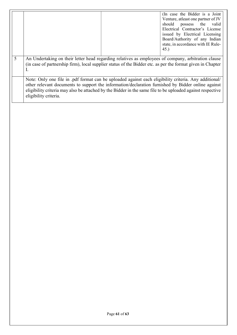|   |                                                                                                                                                                                                                                                                                                                                                    |  | (In case the Bidder is a Joint<br>Venture, at least one partner of JV<br>possess the<br>should<br>valid<br>Electrical Contractor's License |
|---|----------------------------------------------------------------------------------------------------------------------------------------------------------------------------------------------------------------------------------------------------------------------------------------------------------------------------------------------------|--|--------------------------------------------------------------------------------------------------------------------------------------------|
|   |                                                                                                                                                                                                                                                                                                                                                    |  | issued by Electrical Licensing<br>Board/Authority of any Indian<br>state, in accordance with IE Rule-                                      |
|   |                                                                                                                                                                                                                                                                                                                                                    |  | 45.                                                                                                                                        |
| 5 | An Undertaking on their letter head regarding relatives as employees of company, arbitration clause<br>(in case of partnership firm), local supplier status of the Bidder etc. as per the format given in Chapter                                                                                                                                  |  |                                                                                                                                            |
|   | Note: Only one file in .pdf format can be uploaded against each eligibility criteria. Any additional/<br>other relevant documents to support the information/declaration furnished by Bidder online against<br>eligibility criteria may also be attached by the Bidder in the same file to be uploaded against respective<br>eligibility criteria. |  |                                                                                                                                            |
|   |                                                                                                                                                                                                                                                                                                                                                    |  |                                                                                                                                            |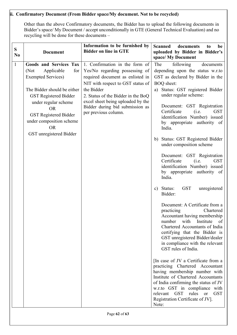#### ii. Confirmatory Document (From Bidder space/My document. Not to be recycled)

Other than the above Confirmatory documents, the Bidder has to upload the following documents in Bidder's space/ My Document / accept unconditionally in GTE (General Technical Evaluation) and no recycling will be done for these documents –

| ${\bf S}$<br>N <sub>0</sub> | <b>Document</b>                                                                                                                                                                                                                                                                                  | Information to be furnished by<br><b>Bidder on line in GTE</b>                                                                                                                                                                                                                                | <b>Scanned</b><br>documents<br>be<br>to<br>uploaded by Bidder in Bidder's<br>space/ My Document                                                                                                                                                                                                                                                                                                                                                                                                                                                                                                                                                                                                                                                                                                                                                                                                                                                                                                                                                                                                                                                                                                                                        |
|-----------------------------|--------------------------------------------------------------------------------------------------------------------------------------------------------------------------------------------------------------------------------------------------------------------------------------------------|-----------------------------------------------------------------------------------------------------------------------------------------------------------------------------------------------------------------------------------------------------------------------------------------------|----------------------------------------------------------------------------------------------------------------------------------------------------------------------------------------------------------------------------------------------------------------------------------------------------------------------------------------------------------------------------------------------------------------------------------------------------------------------------------------------------------------------------------------------------------------------------------------------------------------------------------------------------------------------------------------------------------------------------------------------------------------------------------------------------------------------------------------------------------------------------------------------------------------------------------------------------------------------------------------------------------------------------------------------------------------------------------------------------------------------------------------------------------------------------------------------------------------------------------------|
| $\mathbf{1}$                | <b>Goods and Services Tax</b><br>Applicable<br>for<br>(Not<br><b>Exempted Services</b> )<br>The Bidder should be either<br><b>GST Registered Bidder</b><br>under regular scheme<br><b>OR</b><br><b>GST Registered Bidder</b><br>under composition scheme<br><b>OR</b><br>GST unregistered Bidder | 1. Confirmation in the form of<br>Yes/No regarding possessing of<br>required document as enlisted in<br>NIT with respect to GST status of<br>the Bidder<br>2. Status of the Bidder in the BoQ<br>excel sheet being uploaded by the<br>Bidder during bid submission as<br>per previous column. | The<br>following<br>documents<br>depending upon the status w.r.to<br>GST as declared by Bidder in the<br><b>BOQ</b> sheet:<br>a) Status: GST registered Bidder<br>under regular scheme:<br>Document: GST Registration<br>Certificate<br>(i.e.<br><b>GST</b><br>identification Number) issued<br>by appropriate authority of<br>India.<br>Status: GST Registered Bidder<br>b)<br>under composition scheme<br>Document: GST Registration<br>Certificate<br>(i.e.<br><b>GST</b><br>identification Number) issued<br>by appropriate authority of<br>India.<br>c) Status:<br><b>GST</b><br>unregistered<br>Bidder:<br>Document: A Certificate from a<br>practicing<br>Chartered<br>Accountant having membership<br>with Institute<br>of<br>number<br>Chartered Accountants of India<br>certifying that the Bidder is<br>GST unregistered Bidder/dealer<br>in compliance with the relevant<br>GST rules of India.<br>[In case of JV a Certificate from a<br>practicing Chartered Accountant<br>having membership number with<br>Institute of Chartered Accountants<br>of India confirming the status of JV<br>w.r.to GST in compliance with<br>relevant GST<br>rules<br><b>GST</b><br><b>or</b><br>Registration Certificate of JV].<br>Note: |